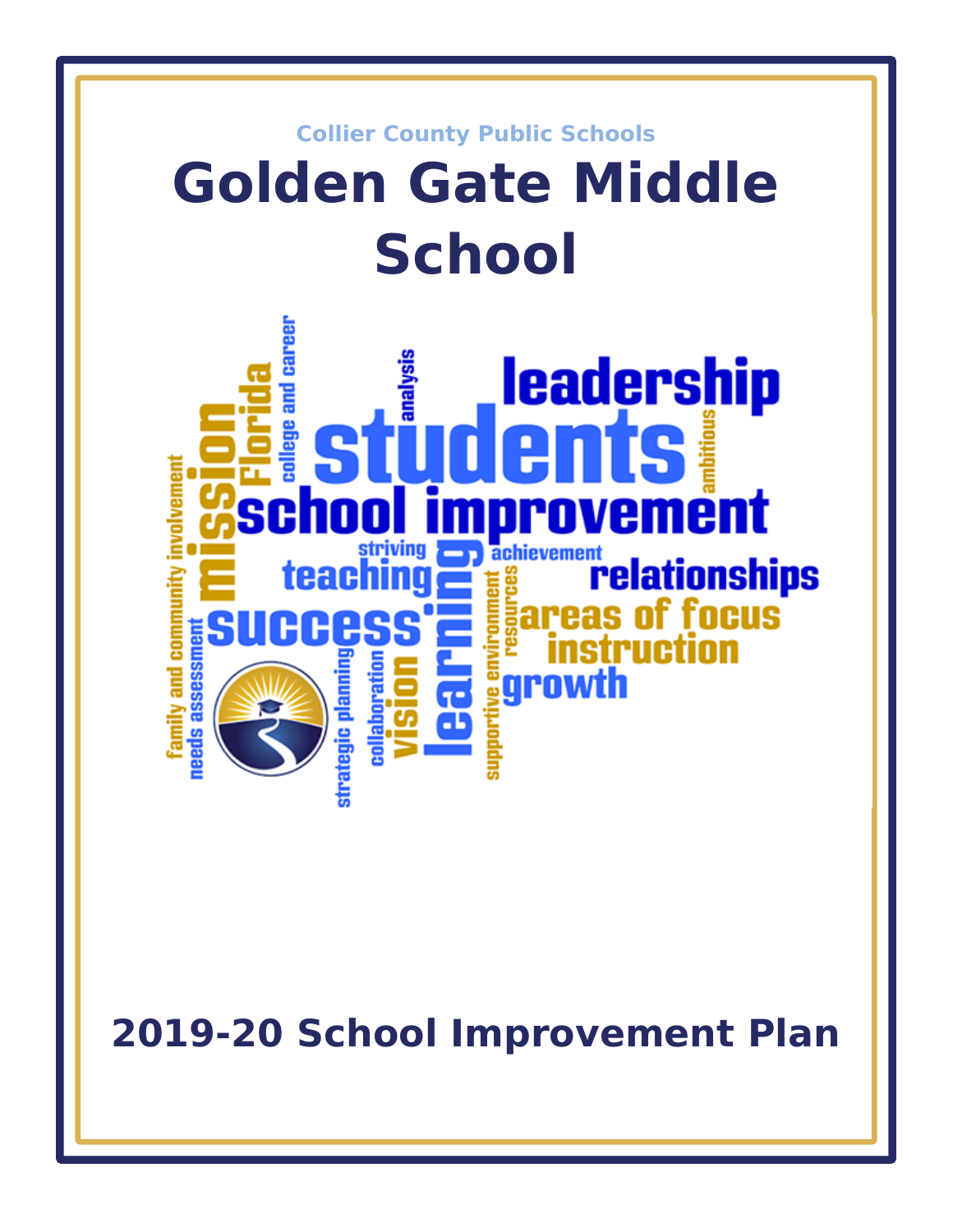

**2019-20 School Improvement Plan**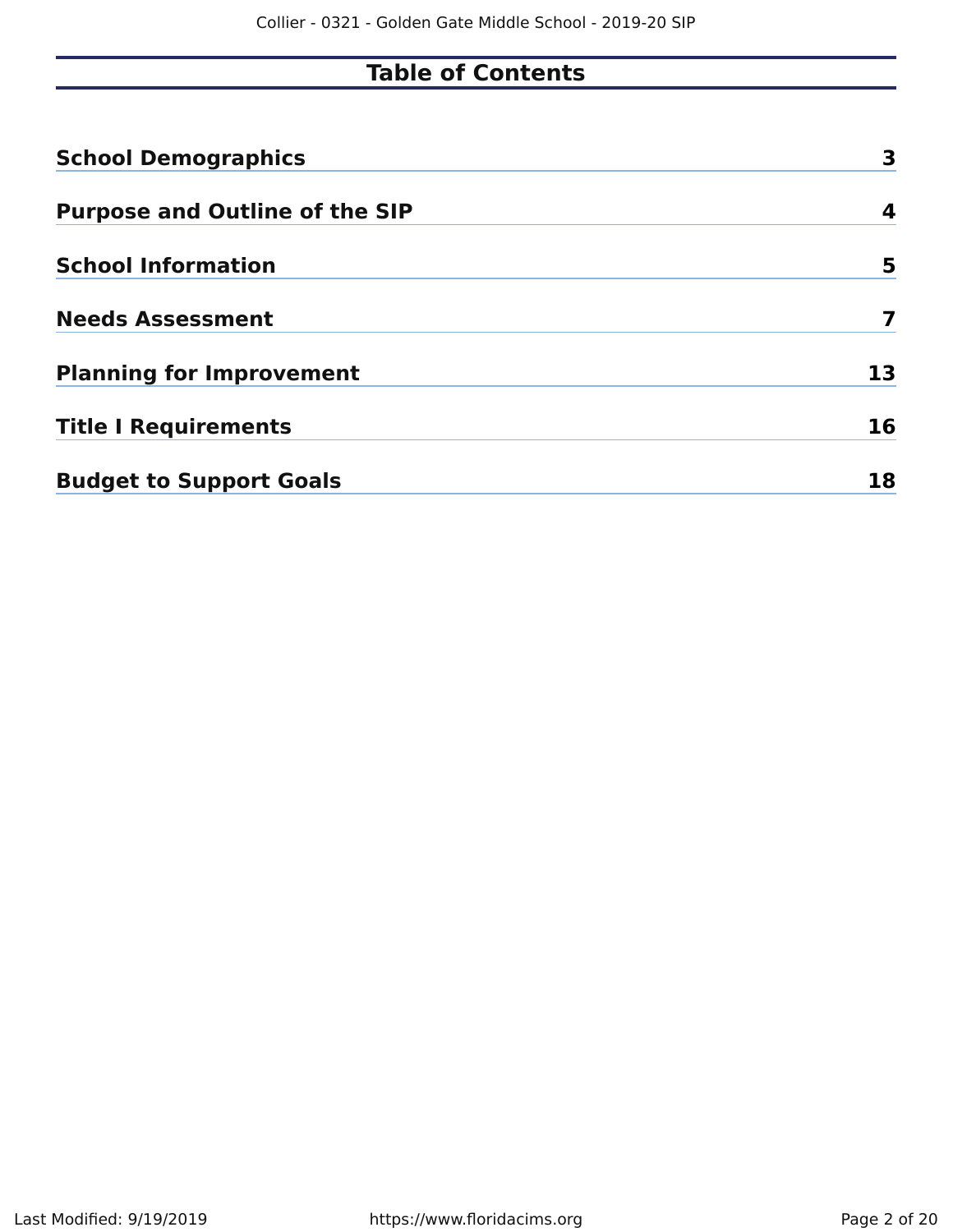# **Table of Contents**

| <b>School Demographics</b>            | 3  |
|---------------------------------------|----|
| <b>Purpose and Outline of the SIP</b> | 4  |
| <b>School Information</b>             | 5  |
| <b>Needs Assessment</b>               | 7  |
| <b>Planning for Improvement</b>       | 13 |
| <b>Title I Requirements</b>           | 16 |
| <b>Budget to Support Goals</b>        | 18 |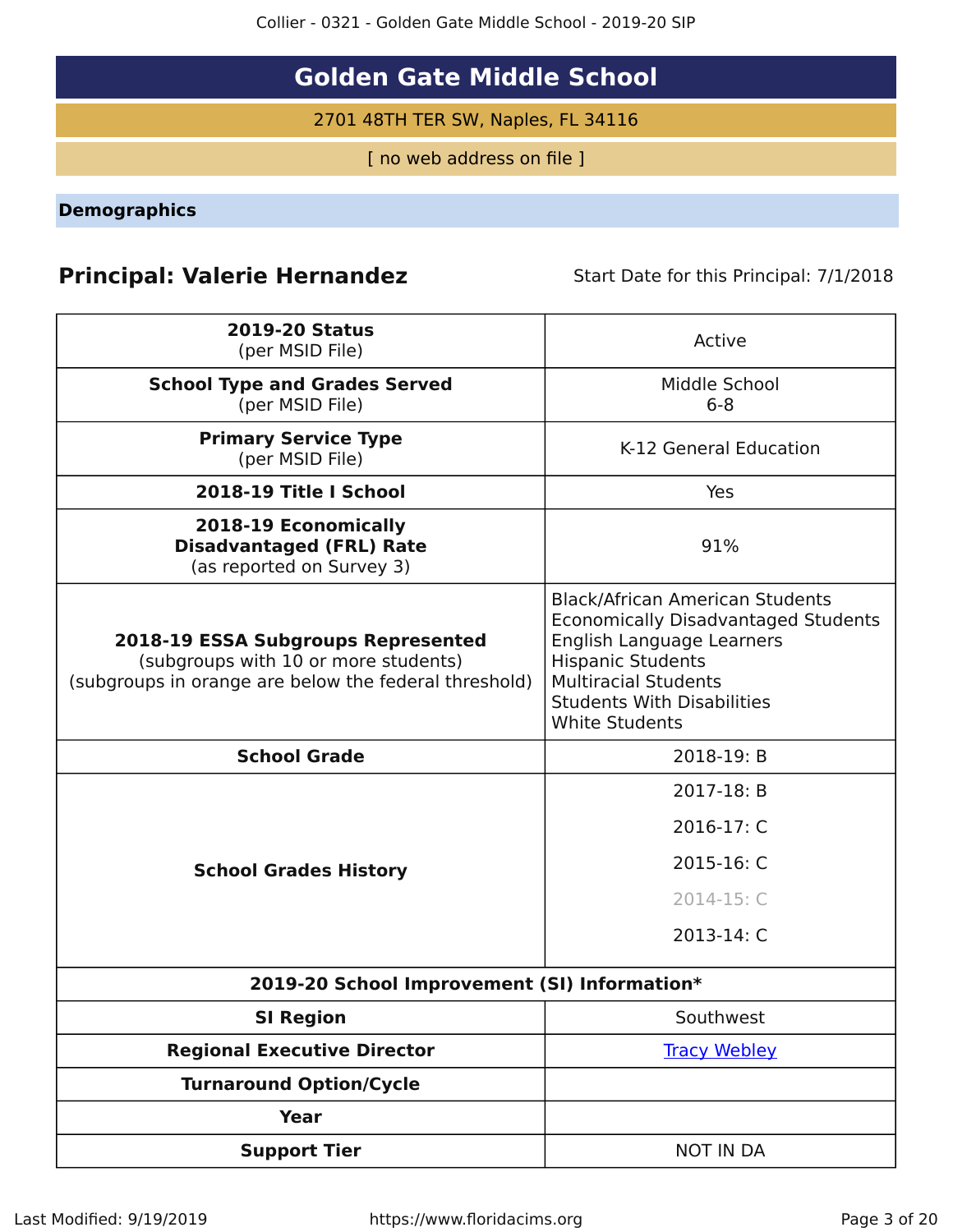Collier - 0321 - Golden Gate Middle School - 2019-20 SIP

# **Golden Gate Middle School**

2701 48TH TER SW, Naples, FL 34116

[ no web address on file ]

<span id="page-2-0"></span>**Demographics**

# **Principal: Valerie Hernandez** Start Date for this Principal: 7/1/2018

| <b>2019-20 Status</b><br>(per MSID File)                                                                                            | Active                                                                                                                                                                                                                                     |
|-------------------------------------------------------------------------------------------------------------------------------------|--------------------------------------------------------------------------------------------------------------------------------------------------------------------------------------------------------------------------------------------|
| <b>School Type and Grades Served</b><br>(per MSID File)                                                                             | Middle School<br>$6 - 8$                                                                                                                                                                                                                   |
| <b>Primary Service Type</b><br>(per MSID File)                                                                                      | K-12 General Education                                                                                                                                                                                                                     |
| 2018-19 Title I School                                                                                                              | Yes                                                                                                                                                                                                                                        |
| 2018-19 Economically<br><b>Disadvantaged (FRL) Rate</b><br>(as reported on Survey 3)                                                | 91%                                                                                                                                                                                                                                        |
| 2018-19 ESSA Subgroups Represented<br>(subgroups with 10 or more students)<br>(subgroups in orange are below the federal threshold) | <b>Black/African American Students</b><br><b>Economically Disadvantaged Students</b><br>English Language Learners<br><b>Hispanic Students</b><br><b>Multiracial Students</b><br><b>Students With Disabilities</b><br><b>White Students</b> |
| <b>School Grade</b>                                                                                                                 | 2018-19: B                                                                                                                                                                                                                                 |
|                                                                                                                                     | 2017-18: B                                                                                                                                                                                                                                 |
|                                                                                                                                     | 2016-17: C                                                                                                                                                                                                                                 |
| <b>School Grades History</b>                                                                                                        | 2015-16: C                                                                                                                                                                                                                                 |
|                                                                                                                                     | 2014-15: C                                                                                                                                                                                                                                 |
|                                                                                                                                     | 2013-14: C                                                                                                                                                                                                                                 |
| 2019-20 School Improvement (SI) Information*                                                                                        |                                                                                                                                                                                                                                            |
| <b>SI Region</b>                                                                                                                    | Southwest                                                                                                                                                                                                                                  |
| <b>Regional Executive Director</b>                                                                                                  | <b>Tracy Webley</b>                                                                                                                                                                                                                        |
| <b>Turnaround Option/Cycle</b>                                                                                                      |                                                                                                                                                                                                                                            |
| <b>Year</b>                                                                                                                         |                                                                                                                                                                                                                                            |
| <b>Support Tier</b>                                                                                                                 | <b>NOT IN DA</b>                                                                                                                                                                                                                           |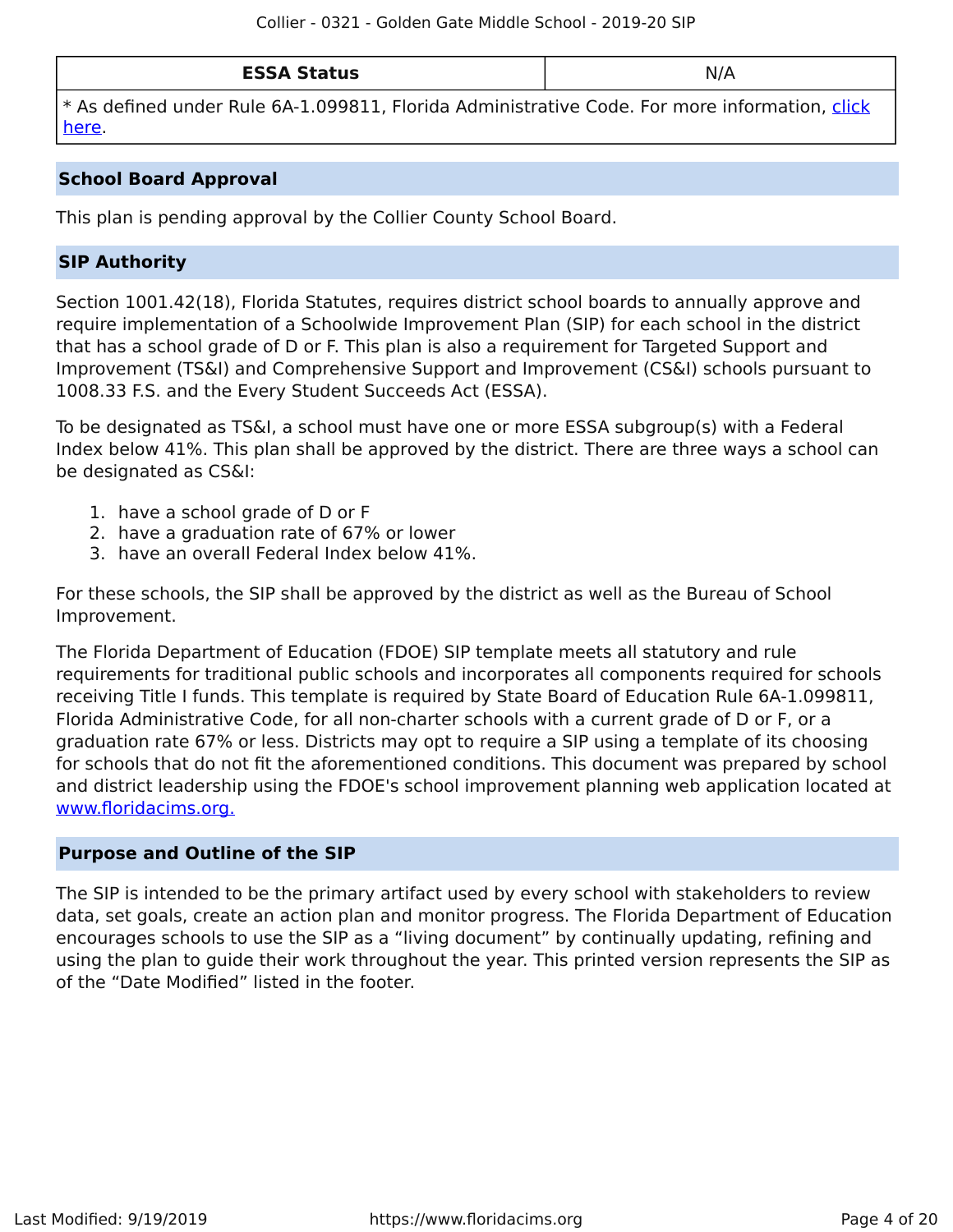| <b>ESSA Status</b> | N/A |
|--------------------|-----|
|--------------------|-----|

\* As defined under Rule 6A-1.099811, Florida Administrative Code. For more information, [click](/downloads?category=da-forms) [here](/downloads?category=da-forms).

### **School Board Approval**

This plan is pending approval by the Collier County School Board.

### **SIP Authority**

Section 1001.42(18), Florida Statutes, requires district school boards to annually approve and require implementation of a Schoolwide Improvement Plan (SIP) for each school in the district that has a school grade of D or F. This plan is also a requirement for Targeted Support and Improvement (TS&I) and Comprehensive Support and Improvement (CS&I) schools pursuant to 1008.33 F.S. and the Every Student Succeeds Act (ESSA).

To be designated as TS&I, a school must have one or more ESSA subgroup(s) with a Federal Index below 41%. This plan shall be approved by the district. There are three ways a school can be designated as CS&I:

- 1. have a school grade of D or F
- 2. have a graduation rate of 67% or lower
- 3. have an overall Federal Index below 41%.

For these schools, the SIP shall be approved by the district as well as the Bureau of School Improvement.

The Florida Department of Education (FDOE) SIP template meets all statutory and rule requirements for traditional public schools and incorporates all components required for schools receiving Title I funds. This template is required by State Board of Education Rule 6A-1.099811, Florida Administrative Code, for all non-charter schools with a current grade of D or F, or a graduation rate 67% or less. Districts may opt to require a SIP using a template of its choosing for schools that do not fit the aforementioned conditions. This document was prepared by school and district leadership using the FDOE's school improvement planning web application located at [www.floridacims.org.](https://www.floridacims.org)

### <span id="page-3-0"></span>**Purpose and Outline of the SIP**

The SIP is intended to be the primary artifact used by every school with stakeholders to review data, set goals, create an action plan and monitor progress. The Florida Department of Education encourages schools to use the SIP as a "living document" by continually updating, refining and using the plan to guide their work throughout the year. This printed version represents the SIP as of the "Date Modified" listed in the footer.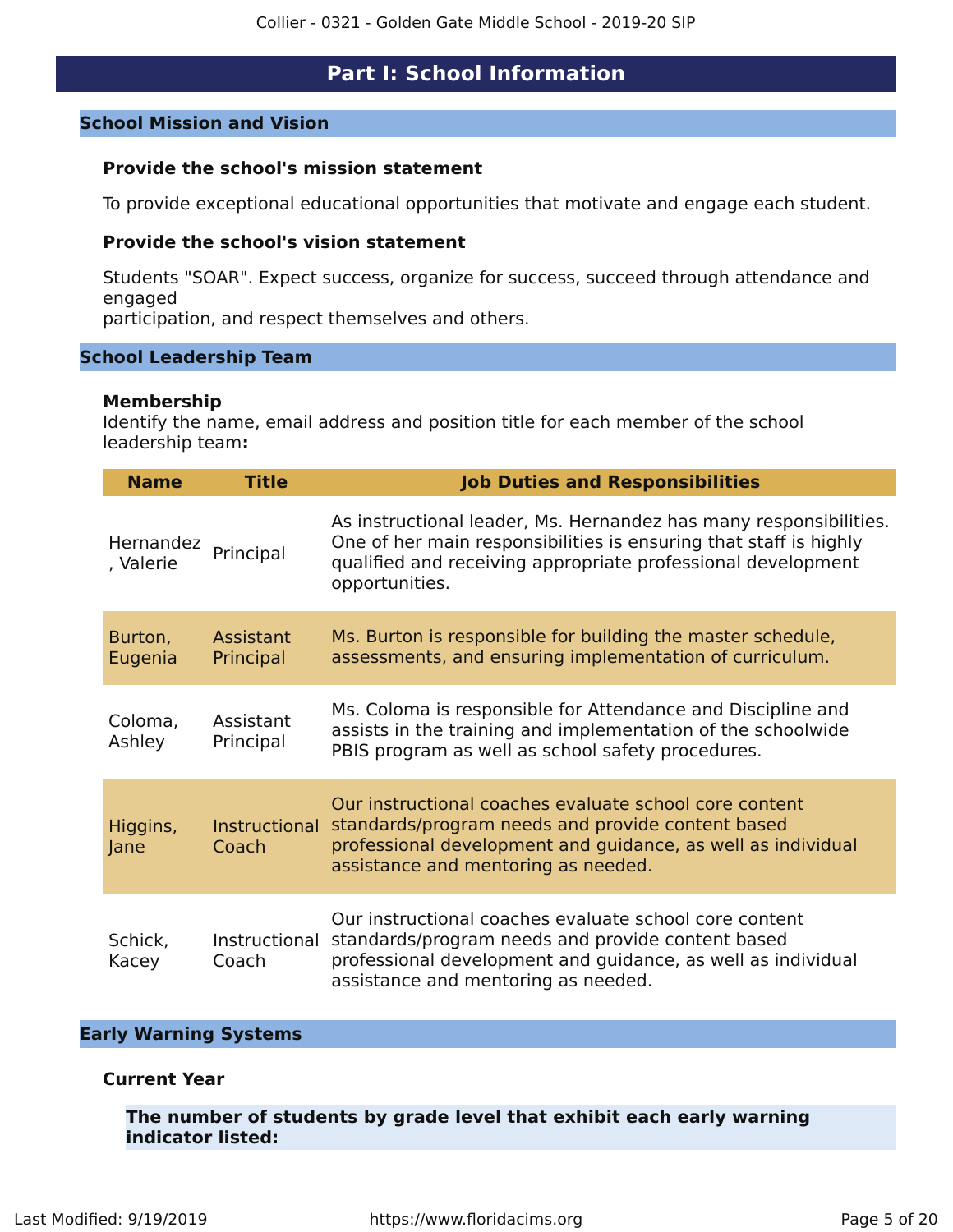## **Part I: School Information**

### <span id="page-4-0"></span>**School Mission and Vision**

### **Provide the school's mission statement**

To provide exceptional educational opportunities that motivate and engage each student.

### **Provide the school's vision statement**

Students "SOAR". Expect success, organize for success, succeed through attendance and engaged

participation, and respect themselves and others.

#### **School Leadership Team**

#### **Membership**

Identify the name, email address and position title for each member of the school leadership team**:**

| <b>Name</b>            | <b>Title</b>           | <b>Job Duties and Responsibilities</b>                                                                                                                                                                                   |
|------------------------|------------------------|--------------------------------------------------------------------------------------------------------------------------------------------------------------------------------------------------------------------------|
| Hernandez<br>, Valerie | Principal              | As instructional leader, Ms. Hernandez has many responsibilities.<br>One of her main responsibilities is ensuring that staff is highly<br>qualified and receiving appropriate professional development<br>opportunities. |
| Burton,<br>Eugenia     | Assistant<br>Principal | Ms. Burton is responsible for building the master schedule,<br>assessments, and ensuring implementation of curriculum.                                                                                                   |
| Coloma,<br>Ashley      | Assistant<br>Principal | Ms. Coloma is responsible for Attendance and Discipline and<br>assists in the training and implementation of the schoolwide<br>PBIS program as well as school safety procedures.                                         |
| Higgins,<br>Jane       | Instructional<br>Coach | Our instructional coaches evaluate school core content<br>standards/program needs and provide content based<br>professional development and guidance, as well as individual<br>assistance and mentoring as needed.       |
| Schick,<br>Kacey       | Instructional<br>Coach | Our instructional coaches evaluate school core content<br>standards/program needs and provide content based<br>professional development and guidance, as well as individual<br>assistance and mentoring as needed.       |

### **Early Warning Systems**

### **Current Year**

**The number of students by grade level that exhibit each early warning indicator listed:**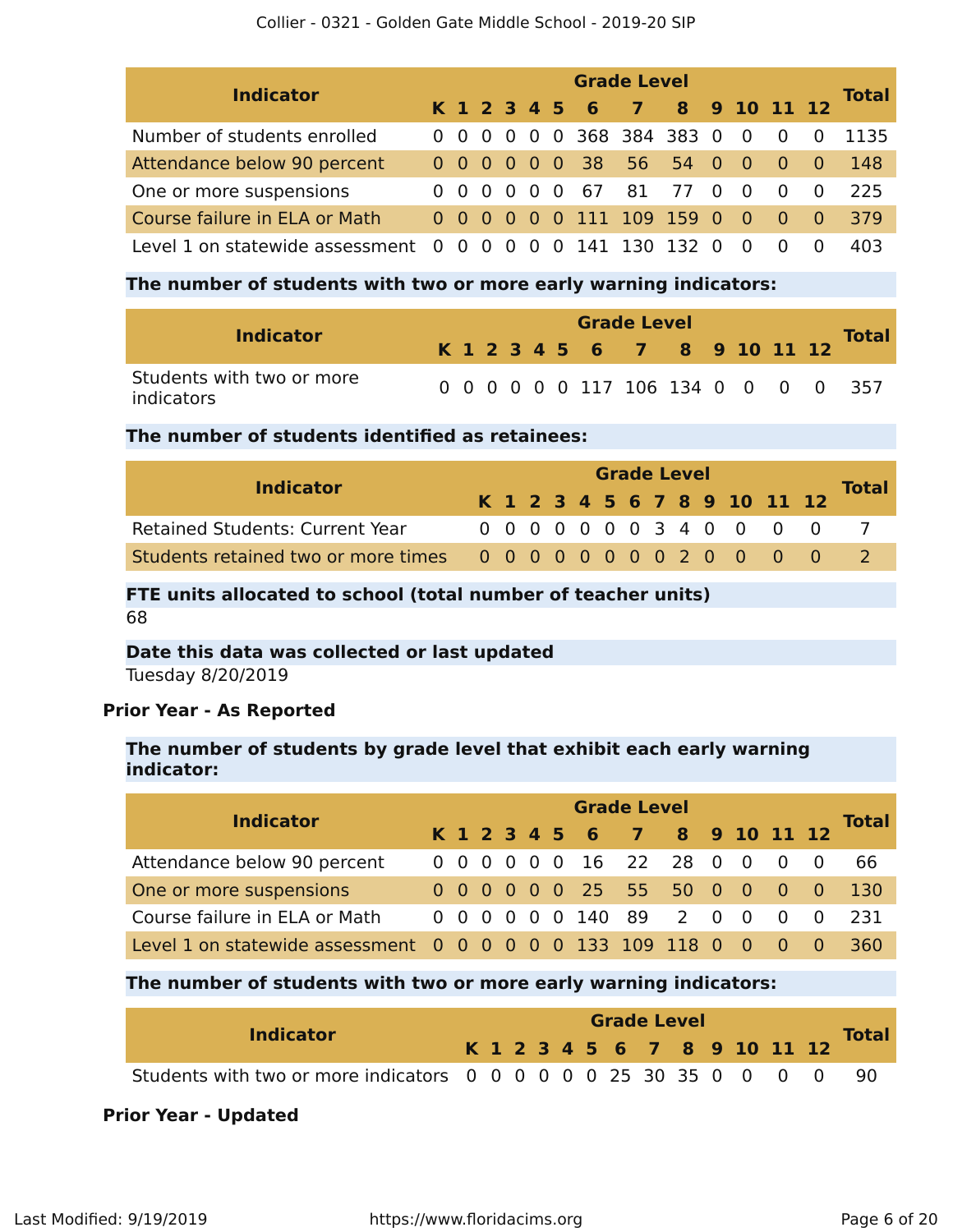#### Collier - 0321 - Golden Gate Middle School - 2019-20 SIP

| <b>Indicator</b>                  | <b>Grade Level</b> |                   |  |  |     |  |  |                              |  |          |                          |                                     |          |              |  |
|-----------------------------------|--------------------|-------------------|--|--|-----|--|--|------------------------------|--|----------|--------------------------|-------------------------------------|----------|--------------|--|
|                                   |                    |                   |  |  |     |  |  | K 1 2 3 4 5 6 7 8 9 10 11 12 |  |          |                          |                                     |          | <b>Total</b> |  |
| Number of students enrolled       |                    |                   |  |  |     |  |  | 0 0 0 0 0 0 368 384 383 0    |  |          | $\overline{\phantom{0}}$ | $0\quad 0$                          |          | 1135         |  |
| Attendance below 90 percent       |                    |                   |  |  |     |  |  | 0 0 0 0 0 0 38 56 54 0       |  |          | $\overline{\phantom{0}}$ | $\begin{matrix} 0 & 0 \end{matrix}$ |          | -148         |  |
| One or more suspensions           |                    | 000000            |  |  |     |  |  | 67 81 77 0                   |  |          | $\overline{0}$           | - 0                                 | $\Omega$ | 225          |  |
| Course failure in ELA or Math     |                    |                   |  |  |     |  |  | 0 0 0 0 0 0 111 109 159 0    |  |          | $\overline{0}$           | $\begin{matrix} 0 & 0 \end{matrix}$ |          | 379          |  |
| Level 1 on statewide assessment 0 |                    | $0\quad 0\quad 0$ |  |  | - 0 |  |  | 0 141 130 132                |  | $\Omega$ |                          | $\Omega$                            | $\Omega$ | 403          |  |

### **The number of students with two or more early warning indicators:**

| <b>Indicator</b>                        |  |  |  | <b>Grade Level</b>           |  |  |  | <b>Total</b>                        |
|-----------------------------------------|--|--|--|------------------------------|--|--|--|-------------------------------------|
|                                         |  |  |  | K 1 2 3 4 5 6 7 8 9 10 11 12 |  |  |  |                                     |
| Students with two or more<br>indicators |  |  |  |                              |  |  |  | 0 0 0 0 0 0 117 106 134 0 0 0 0 357 |

### **The number of students identified as retainees:**

| <b>Indicator</b>                       |  | <b>Grade Level</b> |  |  |  |  |  |  |  |  |  |                              |  |              |  |
|----------------------------------------|--|--------------------|--|--|--|--|--|--|--|--|--|------------------------------|--|--------------|--|
|                                        |  |                    |  |  |  |  |  |  |  |  |  | K 1 2 3 4 5 6 7 8 9 10 11 12 |  | <b>Total</b> |  |
| <b>Retained Students: Current Year</b> |  |                    |  |  |  |  |  |  |  |  |  | 0 0 0 0 0 0 0 3 4 0 0 0 0    |  |              |  |
|                                        |  |                    |  |  |  |  |  |  |  |  |  |                              |  |              |  |

### **FTE units allocated to school (total number of teacher units)** 68

## **Date this data was collected or last updated**

Tuesday 8/20/2019

### **Prior Year - As Reported**

### **The number of students by grade level that exhibit each early warning indicator:**

| <b>Indicator</b>                                            |  | <b>Grade Level</b> |  |  |  |  |                              |  |  |  |  |                                     |  |              |  |  |
|-------------------------------------------------------------|--|--------------------|--|--|--|--|------------------------------|--|--|--|--|-------------------------------------|--|--------------|--|--|
|                                                             |  |                    |  |  |  |  | K 1 2 3 4 5 6 7 8 9 10 11 12 |  |  |  |  |                                     |  | <b>Total</b> |  |  |
| Attendance below 90 percent                                 |  |                    |  |  |  |  | 0 0 0 0 0 0 16 22 28 0 0     |  |  |  |  | $0\quad 0$                          |  | -66          |  |  |
| One or more suspensions                                     |  |                    |  |  |  |  | 0 0 0 0 0 0 25 55 50 0 0 0 0 |  |  |  |  |                                     |  | -130         |  |  |
| Course failure in ELA or Math                               |  |                    |  |  |  |  | 0 0 0 0 0 0 140 89 2 0 0     |  |  |  |  | $\begin{matrix} 0 & 0 \end{matrix}$ |  | 231          |  |  |
| Level 1 on statewide assessment 0 0 0 0 0 0 133 109 118 0 0 |  |                    |  |  |  |  |                              |  |  |  |  | $\overline{0}$ 0                    |  | 360          |  |  |

### **The number of students with two or more early warning indicators:**

| <b>Indicator</b>                                                  |  |  |  |  | <b>Grade Level</b> |  |  |                              |              |
|-------------------------------------------------------------------|--|--|--|--|--------------------|--|--|------------------------------|--------------|
|                                                                   |  |  |  |  |                    |  |  | K 1 2 3 4 5 6 7 8 9 10 11 12 | <b>Total</b> |
| Students with two or more indicators 0 0 0 0 0 0 25 30 35 0 0 0 0 |  |  |  |  |                    |  |  |                              |              |

### **Prior Year - Updated**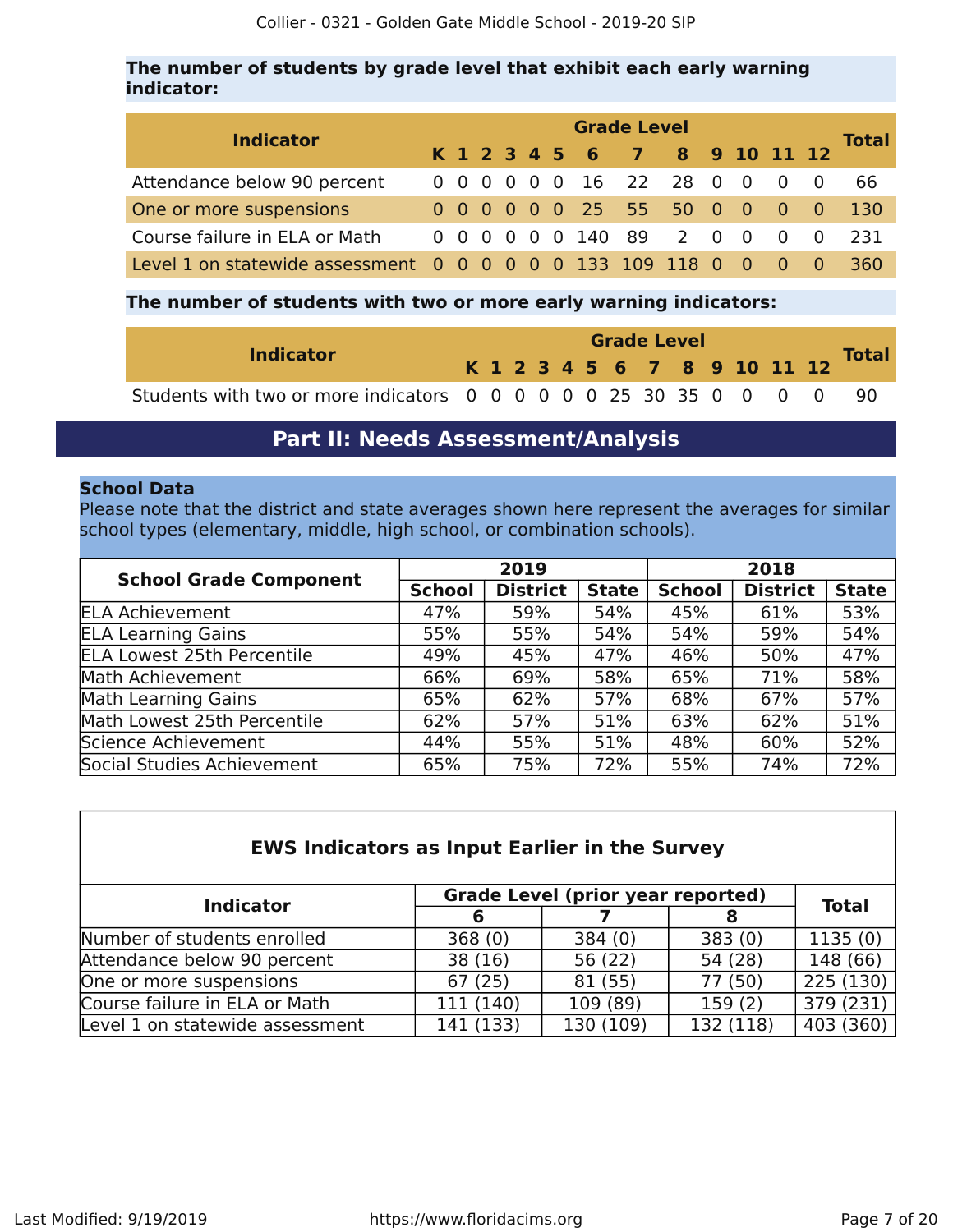### **The number of students by grade level that exhibit each early warning indicator:**

| <b>Indicator</b>                                            |  | <b>Grade Level</b> |  |  |  |  |                              |  |  |  |  |                                     |     |              |  |
|-------------------------------------------------------------|--|--------------------|--|--|--|--|------------------------------|--|--|--|--|-------------------------------------|-----|--------------|--|
|                                                             |  |                    |  |  |  |  | K 1 2 3 4 5 6 7 8 9 10 11 12 |  |  |  |  |                                     |     | <b>Total</b> |  |
| Attendance below 90 percent                                 |  |                    |  |  |  |  | 0 0 0 0 0 0 16 22 28 0 0     |  |  |  |  | $\overline{0}$                      | - 0 | -66          |  |
| One or more suspensions                                     |  |                    |  |  |  |  | 0 0 0 0 0 0 25 55 50 0 0 0 0 |  |  |  |  |                                     |     | -130         |  |
| Course failure in ELA or Math                               |  |                    |  |  |  |  | 0 0 0 0 0 0 140 89 2 0 0     |  |  |  |  | $\begin{matrix} 0 & 0 \end{matrix}$ |     | 231          |  |
| Level 1 on statewide assessment 0 0 0 0 0 0 133 109 118 0 0 |  |                    |  |  |  |  |                              |  |  |  |  |                                     |     | 360          |  |

### **The number of students with two or more early warning indicators:**

| <b>Indicator</b>                                                     |  |  | <b>Grade Level</b> |  |  |  |  |  |  |  |  |                              |              |  |  |  |
|----------------------------------------------------------------------|--|--|--------------------|--|--|--|--|--|--|--|--|------------------------------|--------------|--|--|--|
|                                                                      |  |  |                    |  |  |  |  |  |  |  |  | K 1 2 3 4 5 6 7 8 9 10 11 12 | <b>Total</b> |  |  |  |
| Students with two or more indicators 0 0 0 0 0 0 25 30 35 0 0 0 0 90 |  |  |                    |  |  |  |  |  |  |  |  |                              |              |  |  |  |

### **Part II: Needs Assessment/Analysis**

### <span id="page-6-0"></span>**School Data**

Please note that the district and state averages shown here represent the averages for similar school types (elementary, middle, high school, or combination schools).

|                                   |               | 2019            |              | 2018          |                 |              |  |  |  |  |
|-----------------------------------|---------------|-----------------|--------------|---------------|-----------------|--------------|--|--|--|--|
| <b>School Grade Component</b>     | <b>School</b> | <b>District</b> | <b>State</b> | <b>School</b> | <b>District</b> | <b>State</b> |  |  |  |  |
| <b>ELA Achievement</b>            | 47%           | 59%             | 54%          | 45%           | 61%             | 53%          |  |  |  |  |
| <b>ELA Learning Gains</b>         | 55%           | 55%             | 54%          | 54%           | 59%             | 54%          |  |  |  |  |
| <b>ELA Lowest 25th Percentile</b> | 49%           | 45%             | 47%          | 46%           | 50%             | 47%          |  |  |  |  |
| Math Achievement                  | 66%           | 69%             | 58%          | 65%           | 71%             | 58%          |  |  |  |  |
| Math Learning Gains               | 65%           | 62%             | 57%          | 68%           | 67%             | 57%          |  |  |  |  |
| Math Lowest 25th Percentile       | 62%           | 57%             | 51%          | 63%           | 62%             | 51%          |  |  |  |  |
| Science Achievement               | 44%           | 55%             | 51%          | 48%           | 60%             | 52%          |  |  |  |  |
| Social Studies Achievement        | 65%           | 75%             | 72%          | 55%           | 74%             | 72%          |  |  |  |  |

| <b>EWS Indicators as Input Earlier in the Survey</b> |  |  |
|------------------------------------------------------|--|--|
|------------------------------------------------------|--|--|

| <b>Indicator</b>                | <b>Grade Level (prior year reported)</b> | <b>Total</b> |           |           |  |
|---------------------------------|------------------------------------------|--------------|-----------|-----------|--|
|                                 | 6                                        |              |           |           |  |
| Number of students enrolled     | 368(0)                                   | 384(0)       | 383(0)    | 1135(0)   |  |
| Attendance below 90 percent     | 38 (16)                                  | 56 (22)      | 54 (28)   | 148 (66)  |  |
| One or more suspensions         | 67(25)                                   | 81 (55)      | 77 (50)   | 225(130)  |  |
| Course failure in ELA or Math   | 111 (140)                                | 109 (89)     | 159(2)    | 379(231)  |  |
| Level 1 on statewide assessment | 141 (133)                                | 130 (109)    | 132 (118) | 403 (360) |  |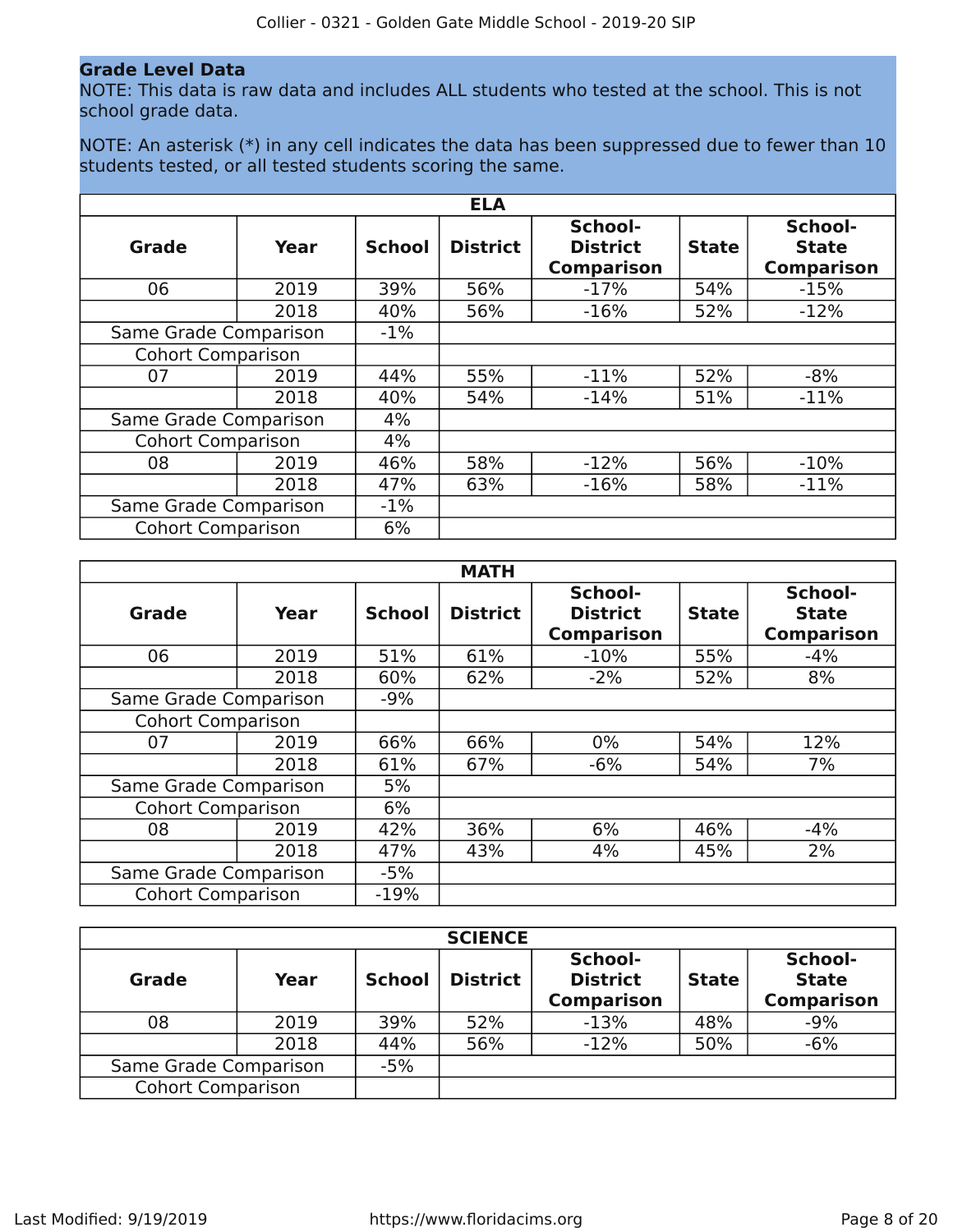### **Grade Level Data**

NOTE: This data is raw data and includes ALL students who tested at the school. This is not school grade data.

NOTE: An asterisk (\*) in any cell indicates the data has been suppressed due to fewer than 10 students tested, or all tested students scoring the same.

|                          |      |               | <b>ELA</b>      |                                                 |              |                                              |
|--------------------------|------|---------------|-----------------|-------------------------------------------------|--------------|----------------------------------------------|
| Grade                    | Year | <b>School</b> | <b>District</b> | School-<br><b>District</b><br><b>Comparison</b> | <b>State</b> | School-<br><b>State</b><br><b>Comparison</b> |
| 06                       | 2019 | 39%           | 56%             | $-17%$                                          | 54%          | $-15%$                                       |
|                          | 2018 | 40%           | 56%             | $-16%$                                          | 52%          | $-12%$                                       |
| Same Grade Comparison    |      | $-1\%$        |                 |                                                 |              |                                              |
| <b>Cohort Comparison</b> |      |               |                 |                                                 |              |                                              |
| 07                       | 2019 | 44%           | 55%             | $-11%$                                          | 52%          | $-8%$                                        |
|                          | 2018 | 40%           | 54%             | $-14%$                                          | 51%          | $-11%$                                       |
| Same Grade Comparison    |      | 4%            |                 |                                                 |              |                                              |
| <b>Cohort Comparison</b> |      | 4%            |                 |                                                 |              |                                              |
| 08                       | 2019 | 46%           | 58%             | $-12%$                                          | 56%          | $-10%$                                       |
|                          | 2018 | 47%           | 63%             | $-16%$                                          | 58%          | $-11%$                                       |
| Same Grade Comparison    |      | $-1\%$        |                 |                                                 |              |                                              |
| <b>Cohort Comparison</b> |      | 6%            |                 |                                                 |              |                                              |

|                          |      |               | <b>MATH</b>     |                                                 |              |                                              |
|--------------------------|------|---------------|-----------------|-------------------------------------------------|--------------|----------------------------------------------|
| Grade                    | Year | <b>School</b> | <b>District</b> | School-<br><b>District</b><br><b>Comparison</b> | <b>State</b> | School-<br><b>State</b><br><b>Comparison</b> |
| 06                       | 2019 | 51%           | 61%             | $-10%$                                          | 55%          | $-4%$                                        |
|                          | 2018 | 60%           | 62%             | $-2%$                                           | 52%          | 8%                                           |
| Same Grade Comparison    |      | $-9%$         |                 |                                                 |              |                                              |
| <b>Cohort Comparison</b> |      |               |                 |                                                 |              |                                              |
| 07                       | 2019 | 66%           | 66%             | $0\%$                                           | 54%          | 12%                                          |
|                          | 2018 | 61%           | 67%             | $-6%$                                           | 54%          | 7%                                           |
| Same Grade Comparison    |      | 5%            |                 |                                                 |              |                                              |
| <b>Cohort Comparison</b> |      | 6%            |                 |                                                 |              |                                              |
| 08                       | 2019 | 42%           | 36%             | 6%                                              | 46%          | $-4%$                                        |
|                          | 2018 | 47%           | 43%             | 4%                                              | 45%          | 2%                                           |
| Same Grade Comparison    |      | $-5%$         |                 |                                                 |              |                                              |
| <b>Cohort Comparison</b> |      | $-19%$        |                 |                                                 |              |                                              |

|                          |      |               | <b>SCIENCE</b>  |                                                 |              |                                              |
|--------------------------|------|---------------|-----------------|-------------------------------------------------|--------------|----------------------------------------------|
| <b>Grade</b>             | Year | <b>School</b> | <b>District</b> | School-<br><b>District</b><br><b>Comparison</b> | <b>State</b> | School-<br><b>State</b><br><b>Comparison</b> |
| 08                       | 2019 | 39%           | 52%             | $-13%$                                          | 48%          | $-9%$                                        |
|                          | 2018 | 44%           | 56%             | $-12%$                                          | 50%          | $-6%$                                        |
| Same Grade Comparison    |      | $-5%$         |                 |                                                 |              |                                              |
| <b>Cohort Comparison</b> |      |               |                 |                                                 |              |                                              |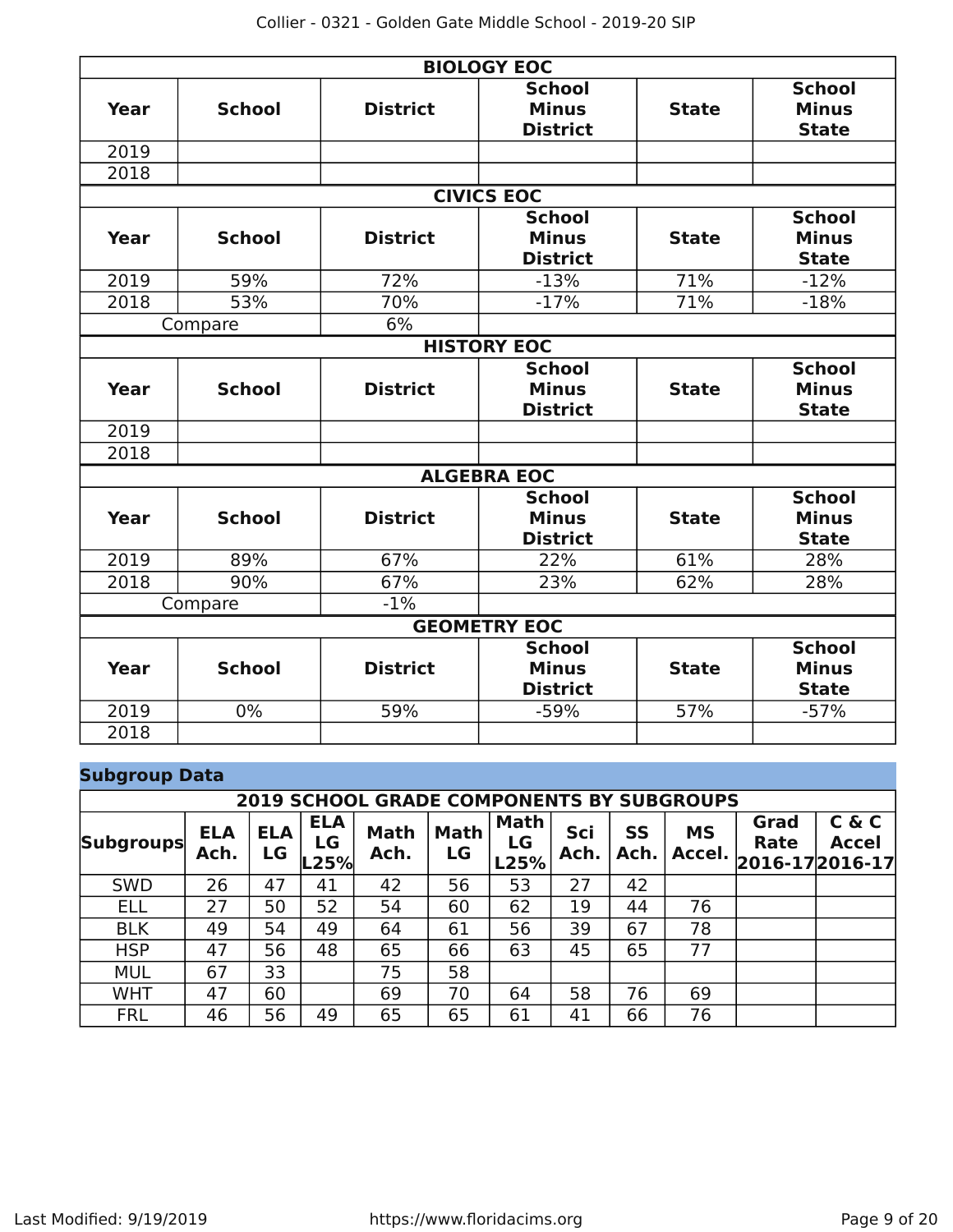|      |               |                 | <b>BIOLOGY EOC</b>                               |              |                                               |
|------|---------------|-----------------|--------------------------------------------------|--------------|-----------------------------------------------|
| Year | <b>School</b> | <b>District</b> | <b>School</b><br><b>Minus</b><br><b>District</b> | <b>State</b> | <b>School</b><br><b>Minus</b><br><b>State</b> |
| 2019 |               |                 |                                                  |              |                                               |
| 2018 |               |                 |                                                  |              |                                               |
|      |               |                 | <b>CIVICS EOC</b>                                |              |                                               |
| Year | <b>School</b> | <b>District</b> | <b>School</b><br><b>Minus</b><br><b>District</b> | <b>State</b> | <b>School</b><br><b>Minus</b><br><b>State</b> |
| 2019 | 59%           | 72%             | $-13%$                                           | 71%          | $-12%$                                        |
| 2018 | 53%           | 70%             | $-17%$                                           | 71%          | $-18%$                                        |
|      | Compare       | 6%              |                                                  |              |                                               |
|      |               |                 | <b>HISTORY EOC</b>                               |              |                                               |
| Year | <b>School</b> | <b>District</b> | <b>School</b><br><b>Minus</b><br><b>District</b> | <b>State</b> | <b>School</b><br><b>Minus</b><br><b>State</b> |
| 2019 |               |                 |                                                  |              |                                               |
| 2018 |               |                 |                                                  |              |                                               |
|      |               |                 | <b>ALGEBRA EOC</b>                               |              |                                               |
| Year | <b>School</b> | <b>District</b> | <b>School</b><br><b>Minus</b><br><b>District</b> | <b>State</b> | <b>School</b><br><b>Minus</b><br><b>State</b> |
| 2019 | 89%           | 67%             | 22%                                              | 61%          | 28%                                           |
| 2018 | 90%           | 67%             | 23%                                              | 62%          | 28%                                           |
|      | Compare       | $-1%$           |                                                  |              |                                               |
|      |               |                 | <b>GEOMETRY EOC</b>                              |              |                                               |
| Year | <b>School</b> | <b>District</b> | <b>School</b><br><b>Minus</b><br><b>District</b> | <b>State</b> | <b>School</b><br><b>Minus</b><br><b>State</b> |
| 2019 | 0%            | 59%             | $-59%$                                           | 57%          | $-57%$                                        |
| 2018 |               |                 |                                                  |              |                                               |

### **Subgroup Data**

|                  | <b>2019 SCHOOL GRADE COMPONENTS BY SUBGROUPS</b> |                  |                          |                     |                   |                           |             |            |                     |              |                                              |
|------------------|--------------------------------------------------|------------------|--------------------------|---------------------|-------------------|---------------------------|-------------|------------|---------------------|--------------|----------------------------------------------|
| <b>Subgroups</b> | ELA<br>Ach.                                      | <b>ELA</b><br>LG | <b>ELA</b><br>LG<br>L25% | <b>Math</b><br>Ach. | <b>Math</b><br>LG | <b>Math</b><br>LG<br>L25% | Sci<br>Ach. | SS<br>Ach. | <b>MS</b><br>Accel. | Grad<br>Rate | C & C<br><b>Accel</b><br>$ 2016-17 2016-17 $ |
| <b>SWD</b>       | 26                                               | 47               | 41                       | 42                  | 56                | 53                        | 27          | 42         |                     |              |                                              |
| <b>ELL</b>       | 27                                               | 50               | 52                       | 54                  | 60                | 62                        | 19          | 44         | 76                  |              |                                              |
| <b>BLK</b>       | 49                                               | 54               | 49                       | 64                  | 61                | 56                        | 39          | 67         | 78                  |              |                                              |
| <b>HSP</b>       | 47                                               | 56               | 48                       | 65                  | 66                | 63                        | 45          | 65         | 77                  |              |                                              |
| <b>MUL</b>       | 67                                               | 33               |                          | 75                  | 58                |                           |             |            |                     |              |                                              |
| <b>WHT</b>       | 47                                               | 60               |                          | 69                  | 70                | 64                        | 58          | 76         | 69                  |              |                                              |
| <b>FRL</b>       | 46                                               | 56               | 49                       | 65                  | 65                | 61                        | 41          | 66         | 76                  |              |                                              |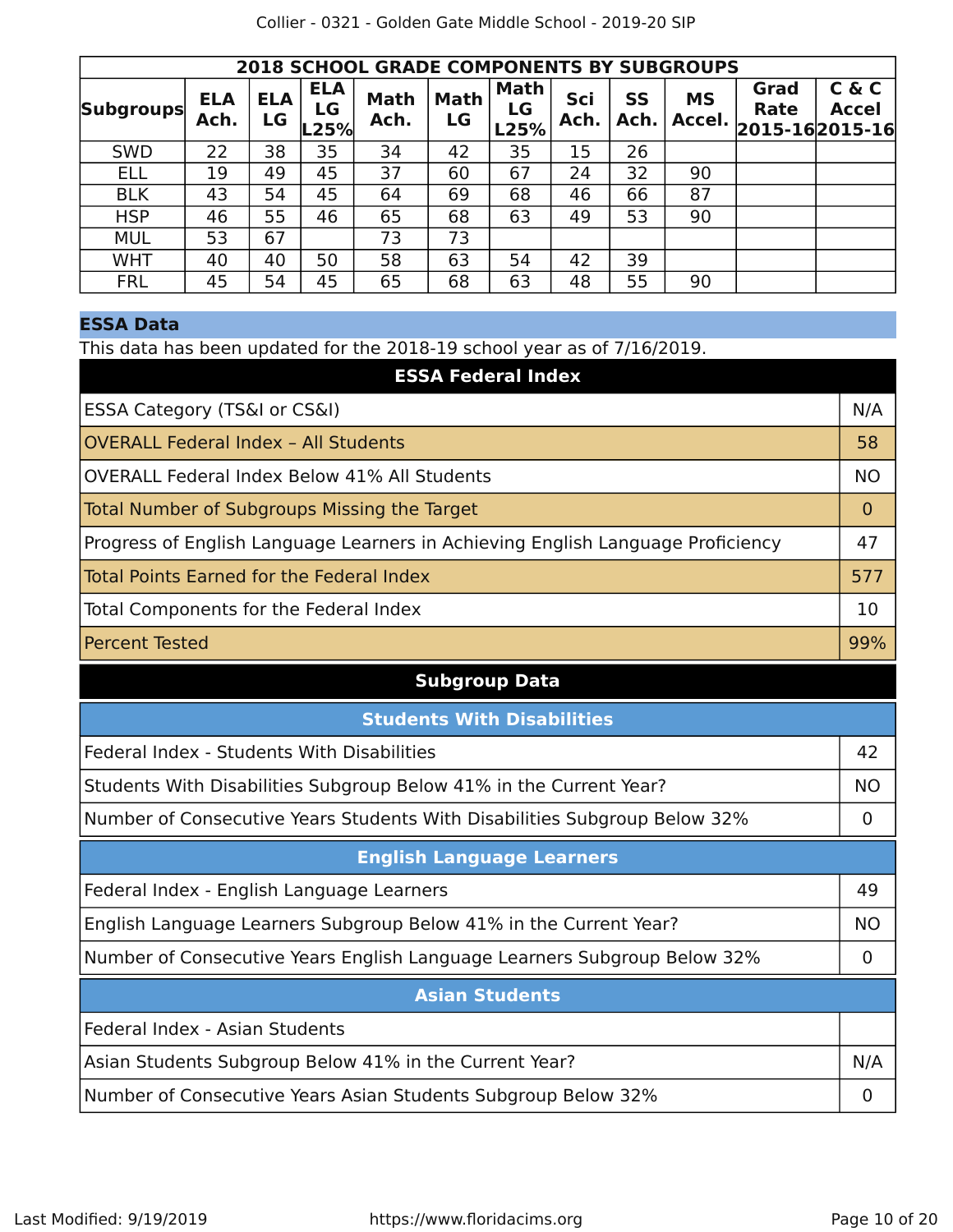| Collier - 0321 - Golden Gate Middle School - 2019-20 SIP |  |
|----------------------------------------------------------|--|
|----------------------------------------------------------|--|

|                  | <b>2018 SCHOOL GRADE COMPONENTS BY SUBGROUPS</b> |                  |                               |                     |                   |                           |             |            |                     |                                |                       |
|------------------|--------------------------------------------------|------------------|-------------------------------|---------------------|-------------------|---------------------------|-------------|------------|---------------------|--------------------------------|-----------------------|
| <b>Subgroups</b> | <b>ELA</b><br>Ach.                               | <b>ELA</b><br>LG | <b>ELA</b><br>LG<br>$ L25\% $ | <b>Math</b><br>Ach. | <b>Math</b><br>LG | <b>Math</b><br>LG<br>L25% | Sci<br>Ach. | SS<br>Ach. | <b>MS</b><br>Accel. | Grad<br>Rate<br>2015-162015-16 | C & C<br><b>Accel</b> |
| <b>SWD</b>       | 22                                               | 38               | 35                            | 34                  | 42                | 35                        | 15          | 26         |                     |                                |                       |
| <b>ELL</b>       | 19                                               | 49               | 45                            | 37                  | 60                | 67                        | 24          | 32         | 90                  |                                |                       |
| <b>BLK</b>       | 43                                               | 54               | 45                            | 64                  | 69                | 68                        | 46          | 66         | 87                  |                                |                       |
| <b>HSP</b>       | 46                                               | 55               | 46                            | 65                  | 68                | 63                        | 49          | 53         | 90                  |                                |                       |
| <b>MUL</b>       | 53                                               | 67               |                               | 73                  | 73                |                           |             |            |                     |                                |                       |
| <b>WHT</b>       | 40                                               | 40               | 50                            | 58                  | 63                | 54                        | 42          | 39         |                     |                                |                       |
| <b>FRL</b>       | 45                                               | 54               | 45                            | 65                  | 68                | 63                        | 48          | 55         | 90                  |                                |                       |

### **ESSA Data**

This data has been updated for the 2018-19 school year as of 7/16/2019.

| <b>ESSA Federal Index</b>                                                       |                |
|---------------------------------------------------------------------------------|----------------|
| ESSA Category (TS&I or CS&I)                                                    | N/A            |
| <b>OVERALL Federal Index - All Students</b>                                     | 58             |
| <b>OVERALL Federal Index Below 41% All Students</b>                             | <b>NO</b>      |
| <b>Total Number of Subgroups Missing the Target</b>                             | $\Omega$       |
| Progress of English Language Learners in Achieving English Language Proficiency | 47             |
| <b>Total Points Earned for the Federal Index</b>                                | 577            |
| Total Components for the Federal Index                                          | 10             |
| <b>Percent Tested</b>                                                           | 99%            |
| <b>Subgroup Data</b>                                                            |                |
| <b>Students With Disabilities</b>                                               |                |
| Federal Index - Students With Disabilities                                      | 42             |
| Students With Disabilities Subgroup Below 41% in the Current Year?              | <b>NO</b>      |
| Number of Consecutive Years Students With Disabilities Subgroup Below 32%       | $\overline{0}$ |
| <b>English Language Learners</b>                                                |                |
| Federal Index - English Language Learners                                       | 49             |
| English Language Learners Subgroup Below 41% in the Current Year?               | <b>NO</b>      |
| Number of Consecutive Years English Language Learners Subgroup Below 32%        | $\mathbf 0$    |
| <b>Asian Students</b>                                                           |                |
| Federal Index - Asian Students                                                  |                |
| Asian Students Subgroup Below 41% in the Current Year?                          | N/A            |
| Number of Consecutive Years Asian Students Subgroup Below 32%                   | $\overline{0}$ |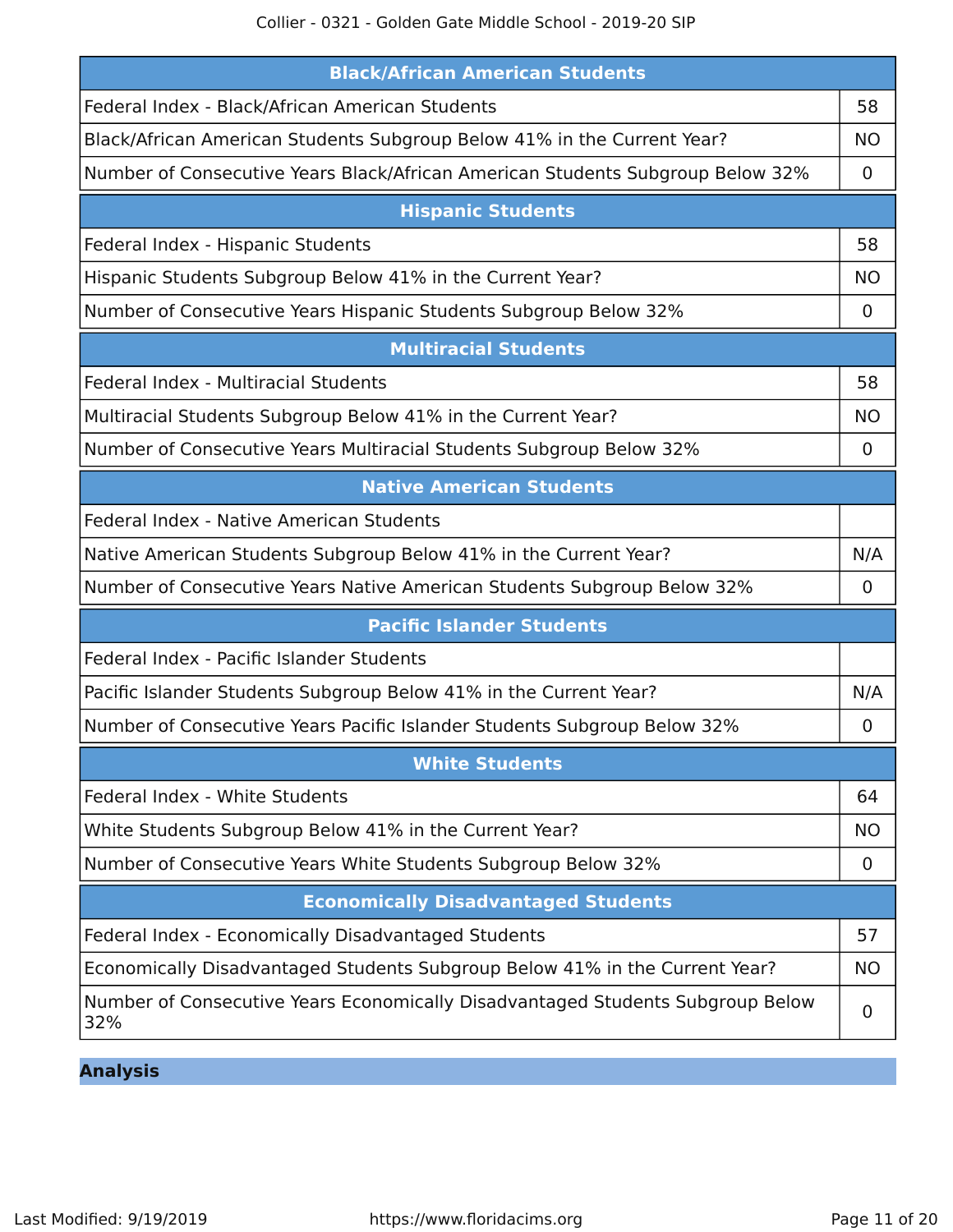Collier - 0321 - Golden Gate Middle School - 2019-20 SIP

| <b>Black/African American Students</b>                                                |             |
|---------------------------------------------------------------------------------------|-------------|
| Federal Index - Black/African American Students                                       | 58          |
| Black/African American Students Subgroup Below 41% in the Current Year?               | <b>NO</b>   |
| Number of Consecutive Years Black/African American Students Subgroup Below 32%        | 0           |
| <b>Hispanic Students</b>                                                              |             |
| Federal Index - Hispanic Students                                                     | 58          |
| Hispanic Students Subgroup Below 41% in the Current Year?                             | <b>NO</b>   |
| Number of Consecutive Years Hispanic Students Subgroup Below 32%                      | 0           |
| <b>Multiracial Students</b>                                                           |             |
| Federal Index - Multiracial Students                                                  | 58          |
| Multiracial Students Subgroup Below 41% in the Current Year?                          | <b>NO</b>   |
| Number of Consecutive Years Multiracial Students Subgroup Below 32%                   | 0           |
| <b>Native American Students</b>                                                       |             |
| Federal Index - Native American Students                                              |             |
| Native American Students Subgroup Below 41% in the Current Year?                      | N/A         |
| Number of Consecutive Years Native American Students Subgroup Below 32%               | $\mathbf 0$ |
| <b>Pacific Islander Students</b>                                                      |             |
| Federal Index - Pacific Islander Students                                             |             |
| Pacific Islander Students Subgroup Below 41% in the Current Year?                     | N/A         |
| Number of Consecutive Years Pacific Islander Students Subgroup Below 32%              | 0           |
| <b>White Students</b>                                                                 |             |
| Federal Index - White Students                                                        | 64          |
| White Students Subgroup Below 41% in the Current Year?                                | <b>NO</b>   |
| Number of Consecutive Years White Students Subgroup Below 32%                         | 0           |
| <b>Economically Disadvantaged Students</b>                                            |             |
| Federal Index - Economically Disadvantaged Students                                   | 57          |
| Economically Disadvantaged Students Subgroup Below 41% in the Current Year?           | <b>NO</b>   |
| Number of Consecutive Years Economically Disadvantaged Students Subgroup Below<br>32% | 0           |

**Analysis**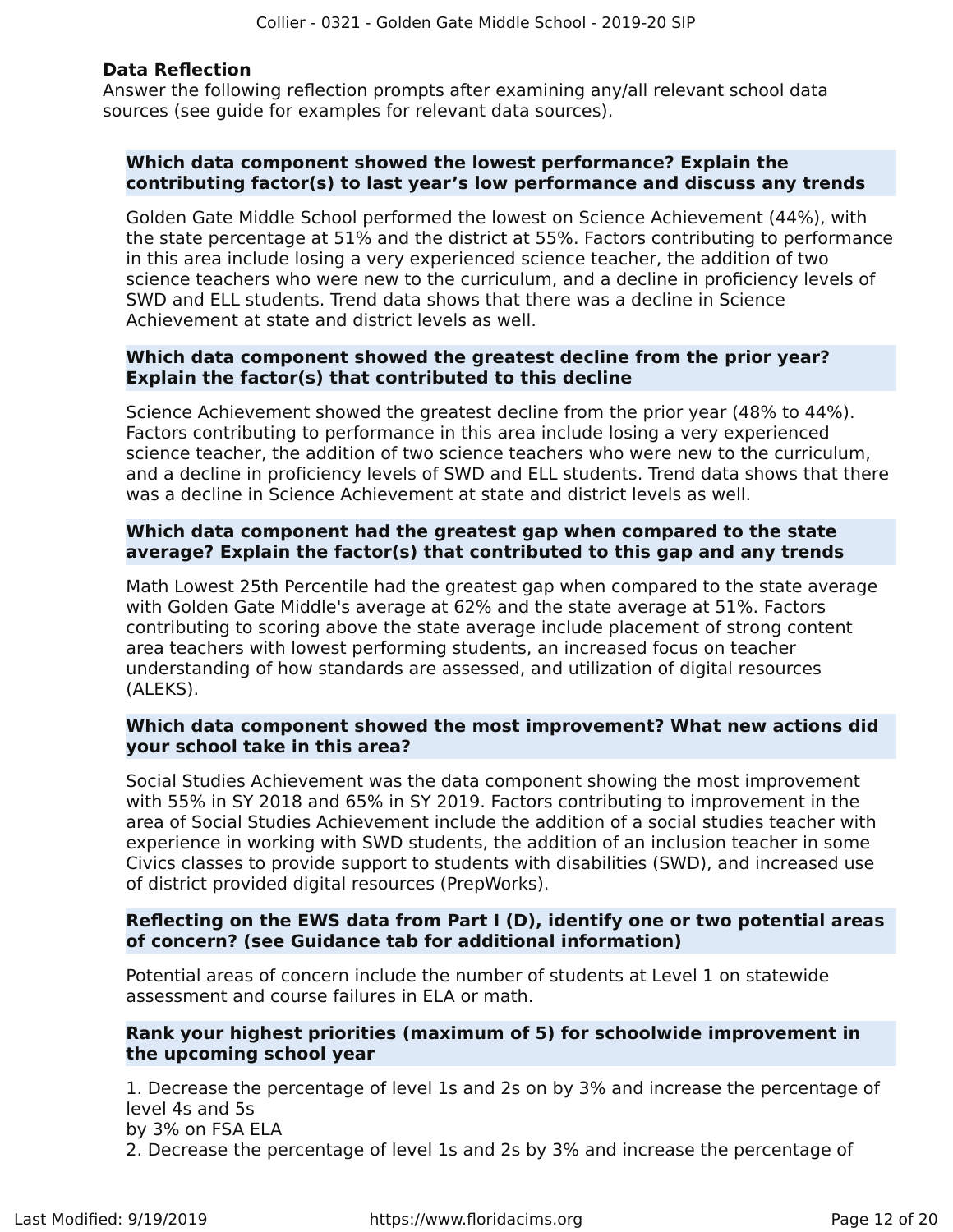### **Data Reflection**

Answer the following reflection prompts after examining any/all relevant school data sources (see guide for examples for relevant data sources).

### **Which data component showed the lowest performance? Explain the contributing factor(s) to last year's low performance and discuss any trends**

Golden Gate Middle School performed the lowest on Science Achievement (44%), with the state percentage at 51% and the district at 55%. Factors contributing to performance in this area include losing a very experienced science teacher, the addition of two science teachers who were new to the curriculum, and a decline in proficiency levels of SWD and ELL students. Trend data shows that there was a decline in Science Achievement at state and district levels as well.

### **Which data component showed the greatest decline from the prior year? Explain the factor(s) that contributed to this decline**

Science Achievement showed the greatest decline from the prior year (48% to 44%). Factors contributing to performance in this area include losing a very experienced science teacher, the addition of two science teachers who were new to the curriculum, and a decline in proficiency levels of SWD and ELL students. Trend data shows that there was a decline in Science Achievement at state and district levels as well.

### **Which data component had the greatest gap when compared to the state average? Explain the factor(s) that contributed to this gap and any trends**

Math Lowest 25th Percentile had the greatest gap when compared to the state average with Golden Gate Middle's average at 62% and the state average at 51%. Factors contributing to scoring above the state average include placement of strong content area teachers with lowest performing students, an increased focus on teacher understanding of how standards are assessed, and utilization of digital resources (ALEKS).

### **Which data component showed the most improvement? What new actions did your school take in this area?**

Social Studies Achievement was the data component showing the most improvement with 55% in SY 2018 and 65% in SY 2019. Factors contributing to improvement in the area of Social Studies Achievement include the addition of a social studies teacher with experience in working with SWD students, the addition of an inclusion teacher in some Civics classes to provide support to students with disabilities (SWD), and increased use of district provided digital resources (PrepWorks).

### **Reflecting on the EWS data from Part I (D), identify one or two potential areas of concern? (see Guidance tab for additional information)**

Potential areas of concern include the number of students at Level 1 on statewide assessment and course failures in ELA or math.

### **Rank your highest priorities (maximum of 5) for schoolwide improvement in the upcoming school year**

1. Decrease the percentage of level 1s and 2s on by 3% and increase the percentage of level 4s and 5s by 3% on FSA ELA 2. Decrease the percentage of level 1s and 2s by 3% and increase the percentage of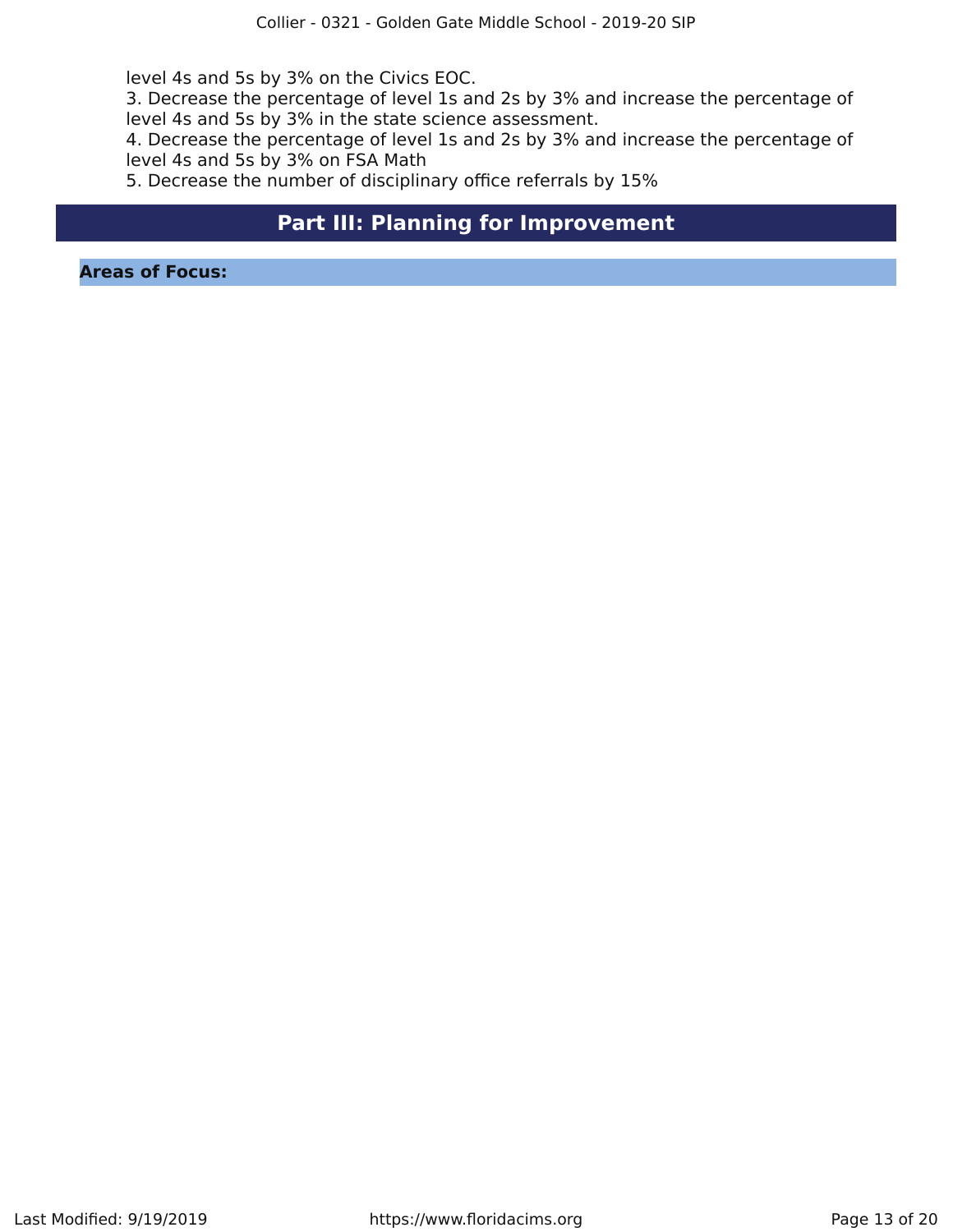level 4s and 5s by 3% on the Civics EOC.

3. Decrease the percentage of level 1s and 2s by 3% and increase the percentage of level 4s and 5s by 3% in the state science assessment.

4. Decrease the percentage of level 1s and 2s by 3% and increase the percentage of level 4s and 5s by 3% on FSA Math

5. Decrease the number of disciplinary office referrals by 15%

### **Part III: Planning for Improvement**

<span id="page-12-0"></span>**Areas of Focus:**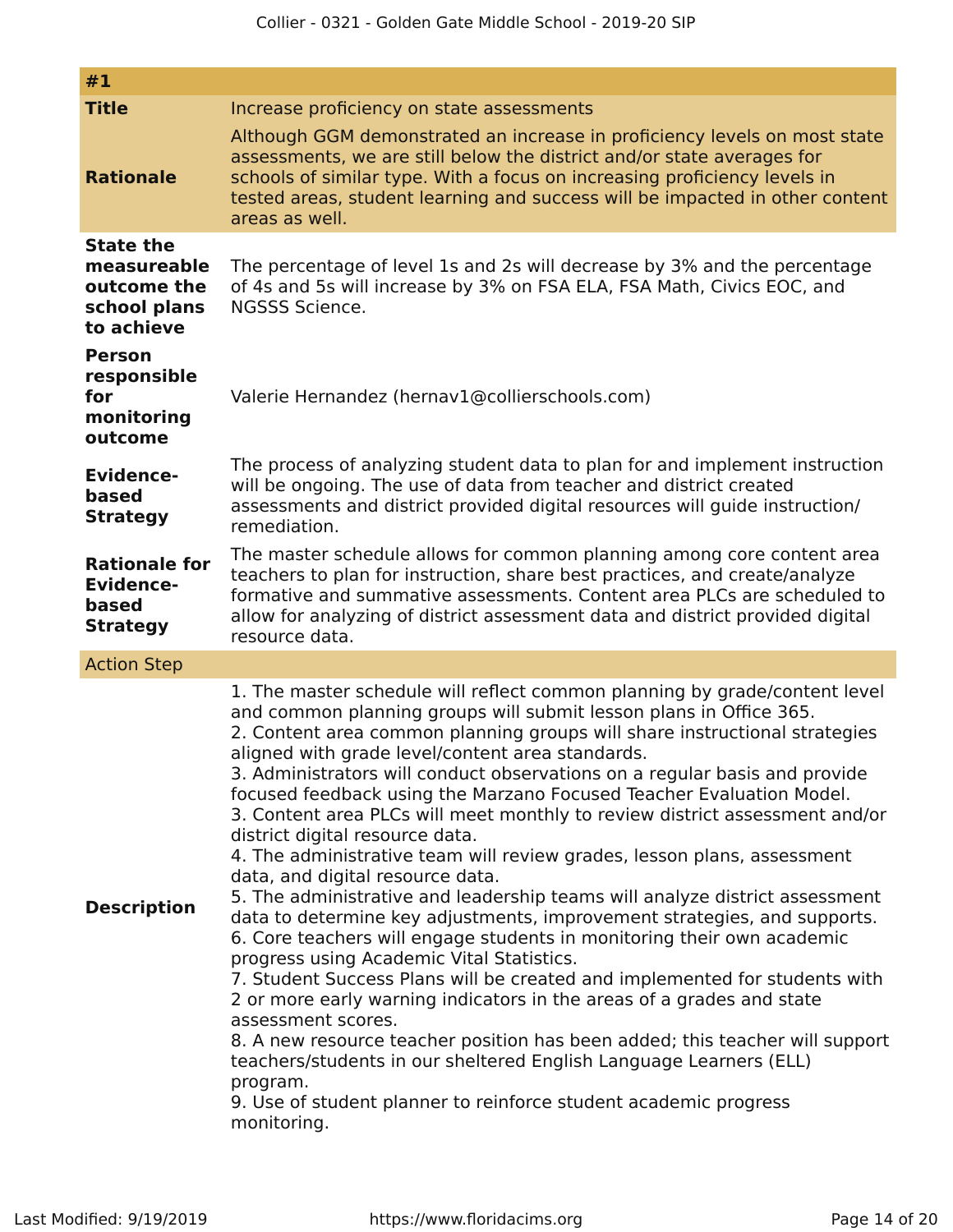| #1                                                                                            |                                                                                                                                                                                                                                                                                                                                                                                                                                                                                                                                                                                                                                                                                                                                                                                                                                                                                                                                                                                                                                                                                                                                                                                                                                                                                                                                                                                               |
|-----------------------------------------------------------------------------------------------|-----------------------------------------------------------------------------------------------------------------------------------------------------------------------------------------------------------------------------------------------------------------------------------------------------------------------------------------------------------------------------------------------------------------------------------------------------------------------------------------------------------------------------------------------------------------------------------------------------------------------------------------------------------------------------------------------------------------------------------------------------------------------------------------------------------------------------------------------------------------------------------------------------------------------------------------------------------------------------------------------------------------------------------------------------------------------------------------------------------------------------------------------------------------------------------------------------------------------------------------------------------------------------------------------------------------------------------------------------------------------------------------------|
| <b>Title</b>                                                                                  | Increase proficiency on state assessments                                                                                                                                                                                                                                                                                                                                                                                                                                                                                                                                                                                                                                                                                                                                                                                                                                                                                                                                                                                                                                                                                                                                                                                                                                                                                                                                                     |
| <b>Rationale</b>                                                                              | Although GGM demonstrated an increase in proficiency levels on most state<br>assessments, we are still below the district and/or state averages for<br>schools of similar type. With a focus on increasing proficiency levels in<br>tested areas, student learning and success will be impacted in other content<br>areas as well.                                                                                                                                                                                                                                                                                                                                                                                                                                                                                                                                                                                                                                                                                                                                                                                                                                                                                                                                                                                                                                                            |
| <b>State the</b><br>measureable<br>outcome the<br>school plans<br>to achieve<br><b>Person</b> | The percentage of level 1s and 2s will decrease by 3% and the percentage<br>of 4s and 5s will increase by 3% on FSA ELA, FSA Math, Civics EOC, and<br>NGSSS Science.                                                                                                                                                                                                                                                                                                                                                                                                                                                                                                                                                                                                                                                                                                                                                                                                                                                                                                                                                                                                                                                                                                                                                                                                                          |
| responsible<br>for<br>monitoring<br>outcome                                                   | Valerie Hernandez (hernav1@collierschools.com)                                                                                                                                                                                                                                                                                                                                                                                                                                                                                                                                                                                                                                                                                                                                                                                                                                                                                                                                                                                                                                                                                                                                                                                                                                                                                                                                                |
| <b>Evidence-</b><br>based<br><b>Strategy</b>                                                  | The process of analyzing student data to plan for and implement instruction<br>will be ongoing. The use of data from teacher and district created<br>assessments and district provided digital resources will guide instruction/<br>remediation.                                                                                                                                                                                                                                                                                                                                                                                                                                                                                                                                                                                                                                                                                                                                                                                                                                                                                                                                                                                                                                                                                                                                              |
| <b>Rationale for</b><br><b>Evidence-</b><br>based<br><b>Strategy</b>                          | The master schedule allows for common planning among core content area<br>teachers to plan for instruction, share best practices, and create/analyze<br>formative and summative assessments. Content area PLCs are scheduled to<br>allow for analyzing of district assessment data and district provided digital<br>resource data.                                                                                                                                                                                                                                                                                                                                                                                                                                                                                                                                                                                                                                                                                                                                                                                                                                                                                                                                                                                                                                                            |
| <b>Action Step</b>                                                                            |                                                                                                                                                                                                                                                                                                                                                                                                                                                                                                                                                                                                                                                                                                                                                                                                                                                                                                                                                                                                                                                                                                                                                                                                                                                                                                                                                                                               |
| <b>Description</b>                                                                            | 1. The master schedule will reflect common planning by grade/content level<br>and common planning groups will submit lesson plans in Office 365.<br>2. Content area common planning groups will share instructional strategies<br>aligned with grade level/content area standards.<br>3. Administrators will conduct observations on a regular basis and provide<br>focused feedback using the Marzano Focused Teacher Evaluation Model.<br>3. Content area PLCs will meet monthly to review district assessment and/or<br>district digital resource data.<br>4. The administrative team will review grades, lesson plans, assessment<br>data, and digital resource data.<br>5. The administrative and leadership teams will analyze district assessment<br>data to determine key adjustments, improvement strategies, and supports.<br>6. Core teachers will engage students in monitoring their own academic<br>progress using Academic Vital Statistics.<br>7. Student Success Plans will be created and implemented for students with<br>2 or more early warning indicators in the areas of a grades and state<br>assessment scores.<br>8. A new resource teacher position has been added; this teacher will support<br>teachers/students in our sheltered English Language Learners (ELL)<br>program.<br>9. Use of student planner to reinforce student academic progress<br>monitoring. |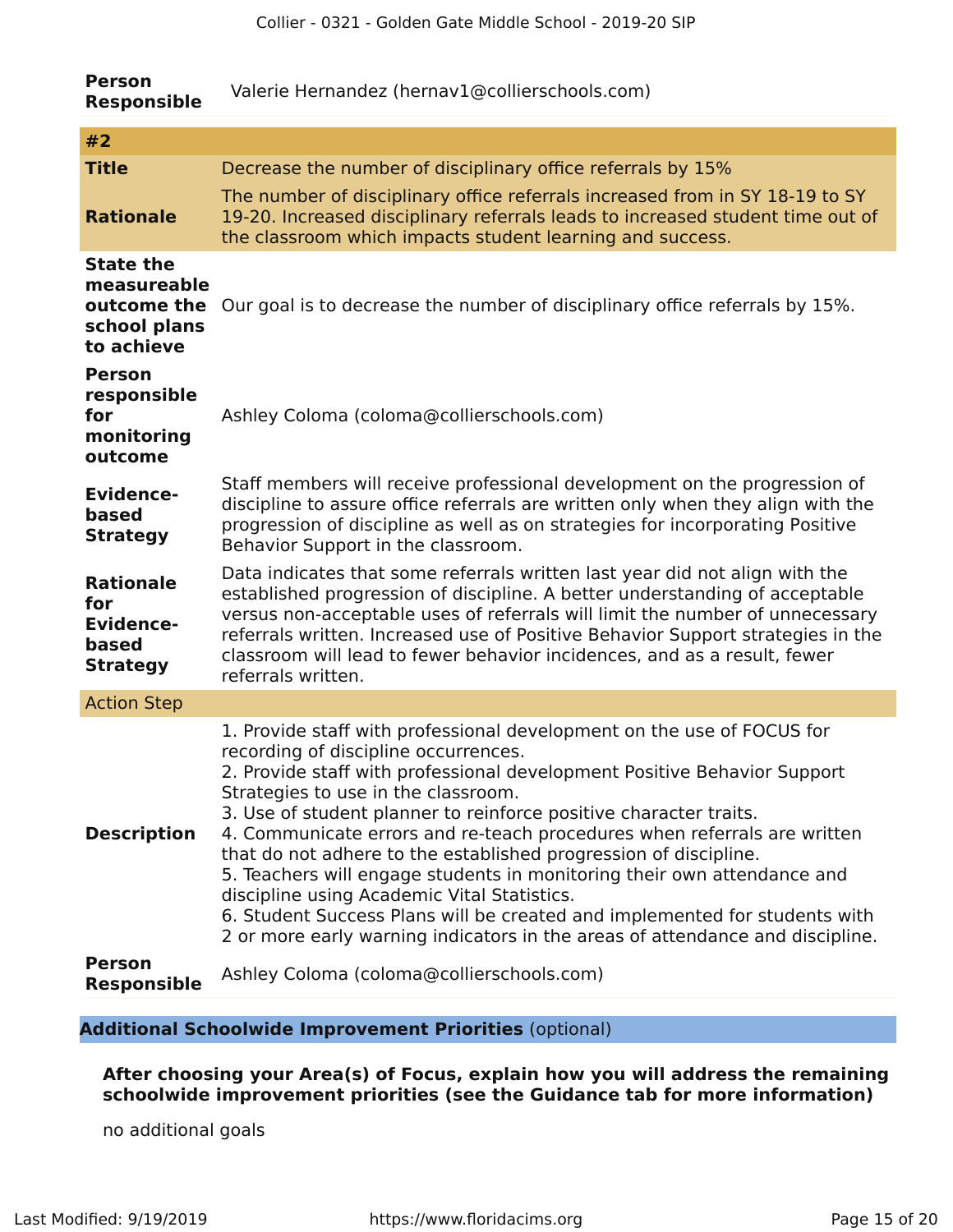| <b>Person</b><br><b>Responsible</b>                                          | Valerie Hernandez (hernav1@collierschools.com)                                                                                                                                                                                                                                                                                                                                                                                                                                                                                                                                                                                                                                                                                                  |  |  |  |
|------------------------------------------------------------------------------|-------------------------------------------------------------------------------------------------------------------------------------------------------------------------------------------------------------------------------------------------------------------------------------------------------------------------------------------------------------------------------------------------------------------------------------------------------------------------------------------------------------------------------------------------------------------------------------------------------------------------------------------------------------------------------------------------------------------------------------------------|--|--|--|
| #2                                                                           |                                                                                                                                                                                                                                                                                                                                                                                                                                                                                                                                                                                                                                                                                                                                                 |  |  |  |
| <b>Title</b>                                                                 | Decrease the number of disciplinary office referrals by 15%                                                                                                                                                                                                                                                                                                                                                                                                                                                                                                                                                                                                                                                                                     |  |  |  |
| <b>Rationale</b>                                                             | The number of disciplinary office referrals increased from in SY 18-19 to SY<br>19-20. Increased disciplinary referrals leads to increased student time out of<br>the classroom which impacts student learning and success.                                                                                                                                                                                                                                                                                                                                                                                                                                                                                                                     |  |  |  |
| <b>State the</b><br>measureable<br>outcome the<br>school plans<br>to achieve | Our goal is to decrease the number of disciplinary office referrals by 15%.                                                                                                                                                                                                                                                                                                                                                                                                                                                                                                                                                                                                                                                                     |  |  |  |
| <b>Person</b><br>responsible<br>for<br>monitoring<br>outcome                 | Ashley Coloma (coloma@collierschools.com)                                                                                                                                                                                                                                                                                                                                                                                                                                                                                                                                                                                                                                                                                                       |  |  |  |
| <b>Evidence-</b><br>based<br><b>Strategy</b>                                 | Staff members will receive professional development on the progression of<br>discipline to assure office referrals are written only when they align with the<br>progression of discipline as well as on strategies for incorporating Positive<br>Behavior Support in the classroom.                                                                                                                                                                                                                                                                                                                                                                                                                                                             |  |  |  |
| <b>Rationale</b><br>for<br><b>Evidence-</b><br>based<br><b>Strategy</b>      | Data indicates that some referrals written last year did not align with the<br>established progression of discipline. A better understanding of acceptable<br>versus non-acceptable uses of referrals will limit the number of unnecessary<br>referrals written. Increased use of Positive Behavior Support strategies in the<br>classroom will lead to fewer behavior incidences, and as a result, fewer<br>referrals written.                                                                                                                                                                                                                                                                                                                 |  |  |  |
| <b>Action Step</b>                                                           |                                                                                                                                                                                                                                                                                                                                                                                                                                                                                                                                                                                                                                                                                                                                                 |  |  |  |
| <b>Description</b>                                                           | 1. Provide staff with professional development on the use of FOCUS for<br>recording of discipline occurrences.<br>2. Provide staff with professional development Positive Behavior Support<br>Strategies to use in the classroom.<br>3. Use of student planner to reinforce positive character traits.<br>4. Communicate errors and re-teach procedures when referrals are written<br>that do not adhere to the established progression of discipline.<br>5. Teachers will engage students in monitoring their own attendance and<br>discipline using Academic Vital Statistics.<br>6. Student Success Plans will be created and implemented for students with<br>2 or more early warning indicators in the areas of attendance and discipline. |  |  |  |
| <b>Person</b><br><b>Responsible</b>                                          | Ashley Coloma (coloma@collierschools.com)                                                                                                                                                                                                                                                                                                                                                                                                                                                                                                                                                                                                                                                                                                       |  |  |  |

### **Additional Schoolwide Improvement Priorities** (optional)

**After choosing your Area(s) of Focus, explain how you will address the remaining schoolwide improvement priorities (see the Guidance tab for more information)**

no additional goals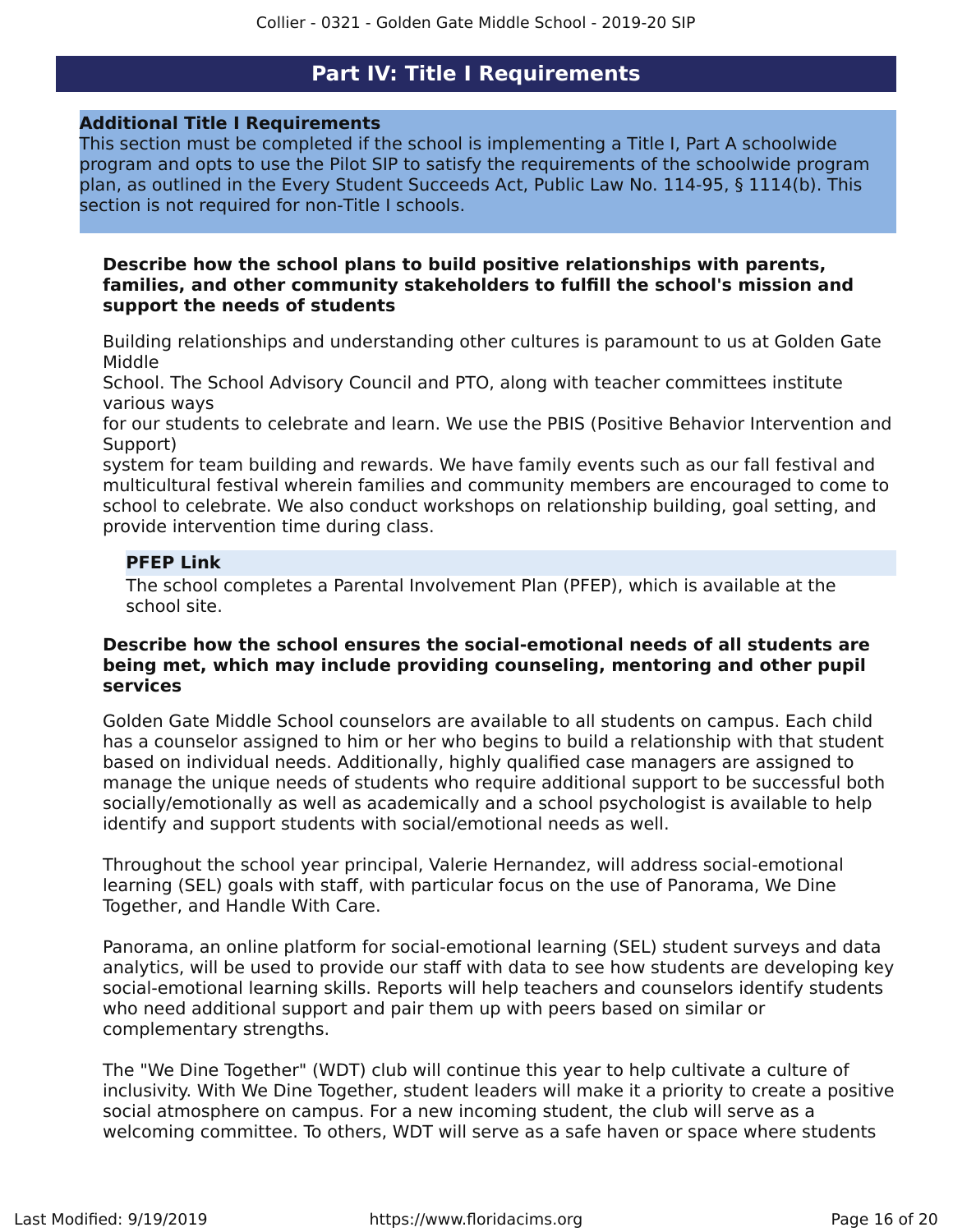### **Part IV: Title I Requirements**

### <span id="page-15-0"></span>**Additional Title I Requirements**

This section must be completed if the school is implementing a Title I, Part A schoolwide program and opts to use the Pilot SIP to satisfy the requirements of the schoolwide program plan, as outlined in the Every Student Succeeds Act, Public Law No. 114-95, § 1114(b). This section is not required for non-Title I schools.

### **Describe how the school plans to build positive relationships with parents, families, and other community stakeholders to fulfill the school's mission and support the needs of students**

Building relationships and understanding other cultures is paramount to us at Golden Gate Middle

School. The School Advisory Council and PTO, along with teacher committees institute various ways

for our students to celebrate and learn. We use the PBIS (Positive Behavior Intervention and Support)

system for team building and rewards. We have family events such as our fall festival and multicultural festival wherein families and community members are encouraged to come to school to celebrate. We also conduct workshops on relationship building, goal setting, and provide intervention time during class.

### **PFEP Link**

The school completes a Parental Involvement Plan (PFEP), which is available at the school site.

### **Describe how the school ensures the social-emotional needs of all students are being met, which may include providing counseling, mentoring and other pupil services**

Golden Gate Middle School counselors are available to all students on campus. Each child has a counselor assigned to him or her who begins to build a relationship with that student based on individual needs. Additionally, highly qualified case managers are assigned to manage the unique needs of students who require additional support to be successful both socially/emotionally as well as academically and a school psychologist is available to help identify and support students with social/emotional needs as well.

Throughout the school year principal, Valerie Hernandez, will address social-emotional learning (SEL) goals with staff, with particular focus on the use of Panorama, We Dine Together, and Handle With Care.

Panorama, an online platform for social-emotional learning (SEL) student surveys and data analytics, will be used to provide our staff with data to see how students are developing key social-emotional learning skills. Reports will help teachers and counselors identify students who need additional support and pair them up with peers based on similar or complementary strengths.

The "We Dine Together" (WDT) club will continue this year to help cultivate a culture of inclusivity. With We Dine Together, student leaders will make it a priority to create a positive social atmosphere on campus. For a new incoming student, the club will serve as a welcoming committee. To others, WDT will serve as a safe haven or space where students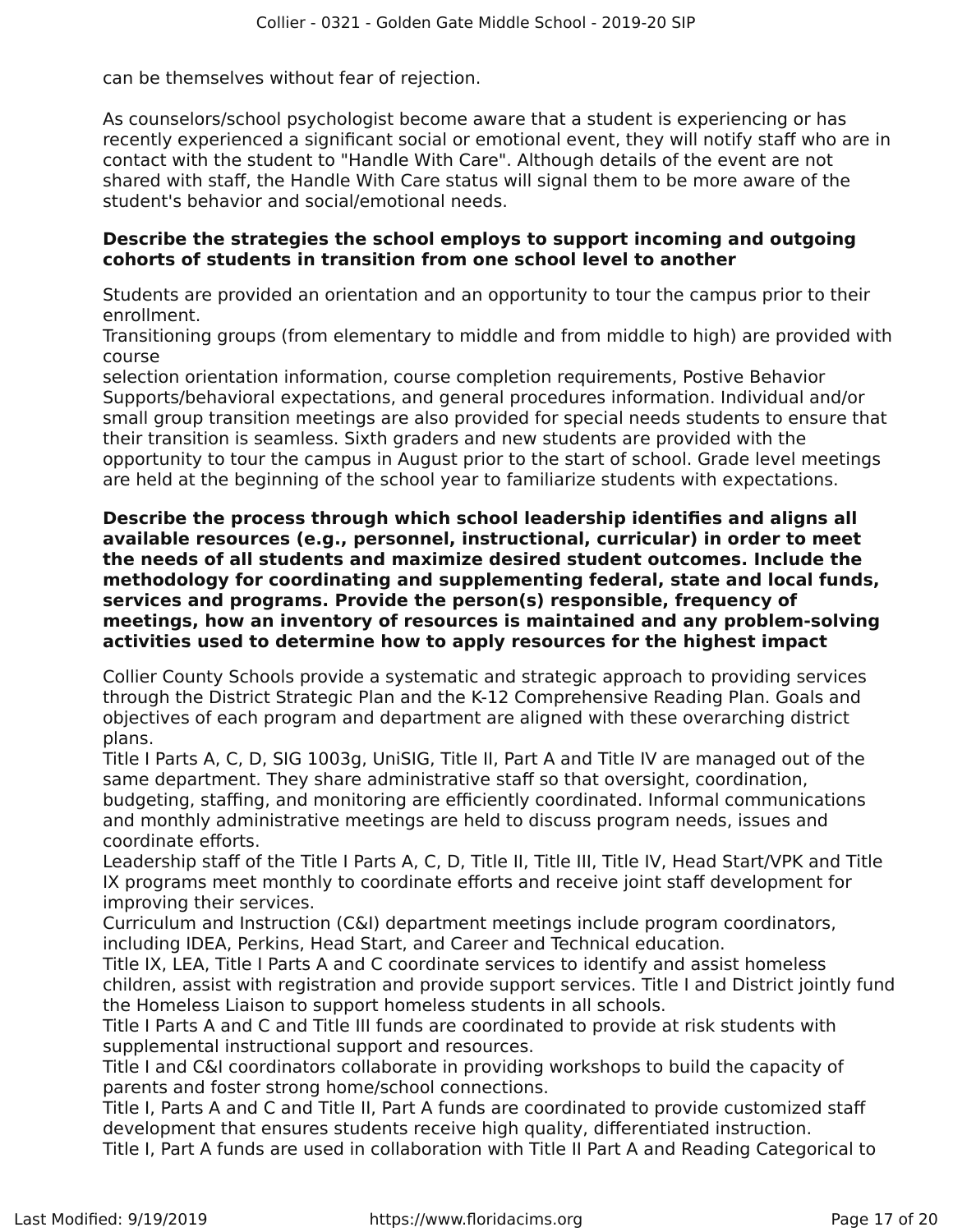can be themselves without fear of rejection.

As counselors/school psychologist become aware that a student is experiencing or has recently experienced a significant social or emotional event, they will notify staff who are in contact with the student to "Handle With Care". Although details of the event are not shared with staff, the Handle With Care status will signal them to be more aware of the student's behavior and social/emotional needs.

### **Describe the strategies the school employs to support incoming and outgoing cohorts of students in transition from one school level to another**

Students are provided an orientation and an opportunity to tour the campus prior to their enrollment.

Transitioning groups (from elementary to middle and from middle to high) are provided with course

selection orientation information, course completion requirements, Postive Behavior Supports/behavioral expectations, and general procedures information. Individual and/or small group transition meetings are also provided for special needs students to ensure that their transition is seamless. Sixth graders and new students are provided with the opportunity to tour the campus in August prior to the start of school. Grade level meetings are held at the beginning of the school year to familiarize students with expectations.

**Describe the process through which school leadership identifies and aligns all available resources (e.g., personnel, instructional, curricular) in order to meet the needs of all students and maximize desired student outcomes. Include the methodology for coordinating and supplementing federal, state and local funds, services and programs. Provide the person(s) responsible, frequency of meetings, how an inventory of resources is maintained and any problem-solving activities used to determine how to apply resources for the highest impact**

Collier County Schools provide a systematic and strategic approach to providing services through the District Strategic Plan and the K-12 Comprehensive Reading Plan. Goals and objectives of each program and department are aligned with these overarching district plans.

Title I Parts A, C, D, SIG 1003g, UniSIG, Title II, Part A and Title IV are managed out of the same department. They share administrative staff so that oversight, coordination, budgeting, staffing, and monitoring are efficiently coordinated. Informal communications and monthly administrative meetings are held to discuss program needs, issues and coordinate efforts.

Leadership staff of the Title I Parts A, C, D, Title II, Title III, Title IV, Head Start/VPK and Title IX programs meet monthly to coordinate efforts and receive joint staff development for improving their services.

Curriculum and Instruction (C&I) department meetings include program coordinators, including IDEA, Perkins, Head Start, and Career and Technical education.

Title IX, LEA, Title I Parts A and C coordinate services to identify and assist homeless children, assist with registration and provide support services. Title I and District jointly fund the Homeless Liaison to support homeless students in all schools.

Title I Parts A and C and Title III funds are coordinated to provide at risk students with supplemental instructional support and resources.

Title I and C&I coordinators collaborate in providing workshops to build the capacity of parents and foster strong home/school connections.

Title I, Parts A and C and Title II, Part A funds are coordinated to provide customized staff development that ensures students receive high quality, differentiated instruction. Title I, Part A funds are used in collaboration with Title II Part A and Reading Categorical to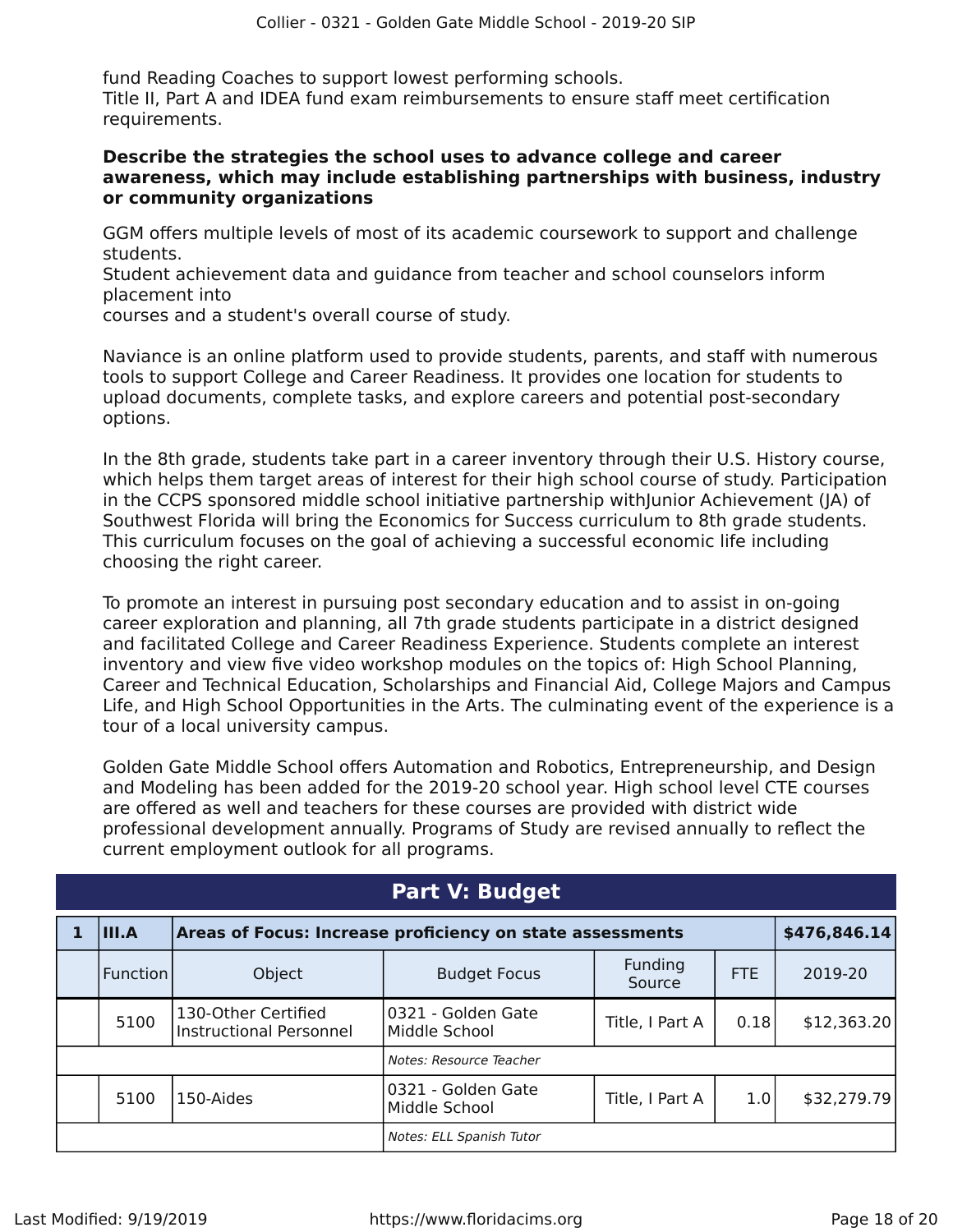fund Reading Coaches to support lowest performing schools. Title II, Part A and IDEA fund exam reimbursements to ensure staff meet certification requirements.

### **Describe the strategies the school uses to advance college and career awareness, which may include establishing partnerships with business, industry or community organizations**

GGM offers multiple levels of most of its academic coursework to support and challenge students.

Student achievement data and guidance from teacher and school counselors inform placement into

courses and a student's overall course of study.

Naviance is an online platform used to provide students, parents, and staff with numerous tools to support College and Career Readiness. It provides one location for students to upload documents, complete tasks, and explore careers and potential post-secondary options.

In the 8th grade, students take part in a career inventory through their U.S. History course, which helps them target areas of interest for their high school course of study. Participation in the CCPS sponsored middle school initiative partnership withJunior Achievement (JA) of Southwest Florida will bring the Economics for Success curriculum to 8th grade students. This curriculum focuses on the goal of achieving a successful economic life including choosing the right career.

To promote an interest in pursuing post secondary education and to assist in on-going career exploration and planning, all 7th grade students participate in a district designed and facilitated College and Career Readiness Experience. Students complete an interest inventory and view five video workshop modules on the topics of: High School Planning, Career and Technical Education, Scholarships and Financial Aid, College Majors and Campus Life, and High School Opportunities in the Arts. The culminating event of the experience is a tour of a local university campus.

Golden Gate Middle School offers Automation and Robotics, Entrepreneurship, and Design and Modeling has been added for the 2019-20 school year. High school level CTE courses are offered as well and teachers for these courses are provided with district wide professional development annually. Programs of Study are revised annually to reflect the current employment outlook for all programs.

<span id="page-17-0"></span>

| <b>Part V: Budget</b>    |              |                                                           |                                      |                   |            |              |
|--------------------------|--------------|-----------------------------------------------------------|--------------------------------------|-------------------|------------|--------------|
|                          | III.A        | Areas of Focus: Increase proficiency on state assessments |                                      |                   |            | \$476,846.14 |
|                          | l Function l | Object                                                    | <b>Budget Focus</b>                  | Funding<br>Source | <b>FTE</b> | 2019-20      |
|                          | 5100         | 130-Other Certified<br><b>Instructional Personnel</b>     | 10321 - Golden Gate<br>Middle School | Title, I Part A   | 0.18       | \$12,363.20  |
| Notes: Resource Teacher  |              |                                                           |                                      |                   |            |              |
|                          | 5100         | 150-Aides                                                 | 10321 - Golden Gate<br>Middle School | Title, I Part A   | 1.0        | \$32,279.79  |
| Notes: ELL Spanish Tutor |              |                                                           |                                      |                   |            |              |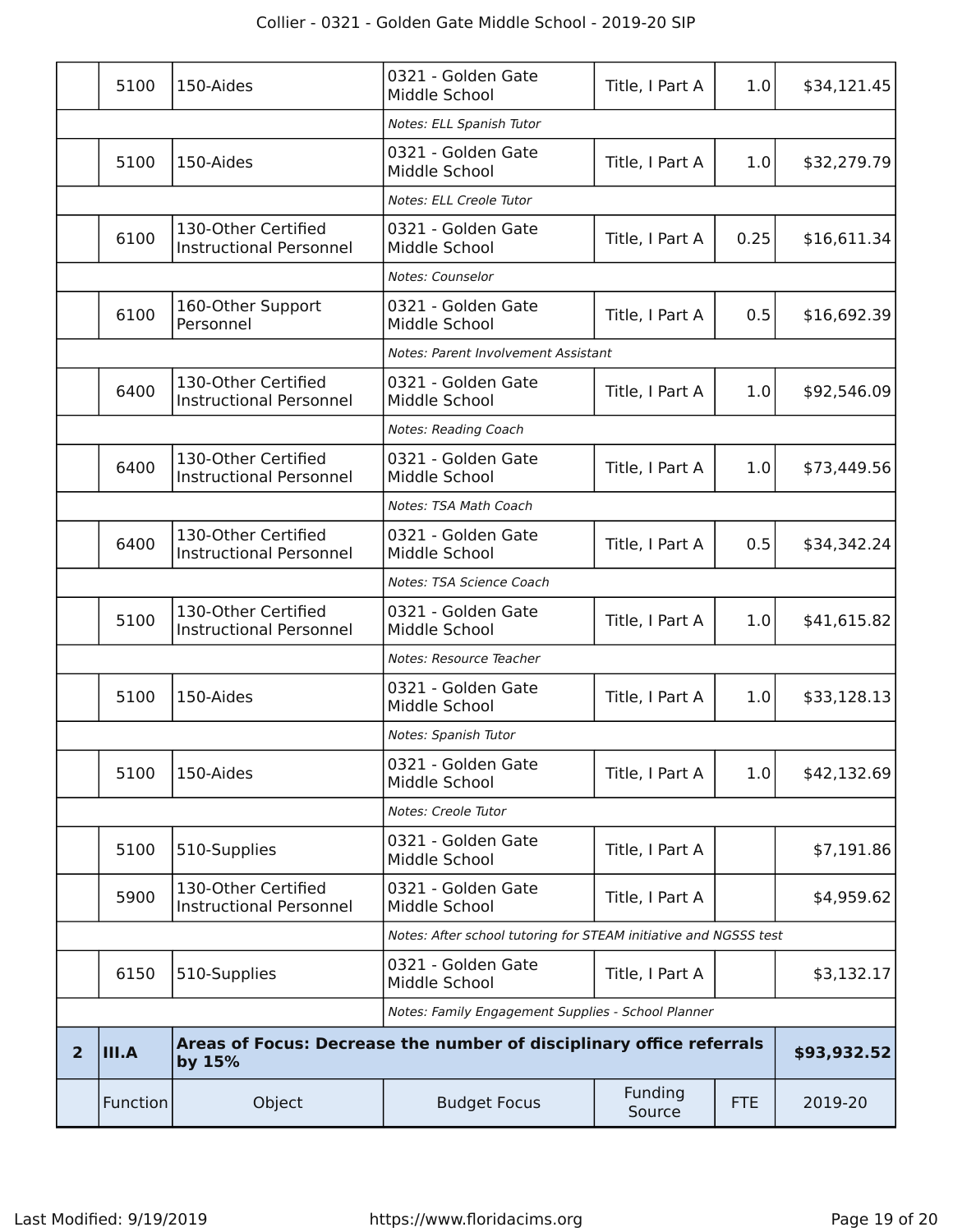|                | 5100                                                             | 150-Aides                                                                      | 0321 - Golden Gate<br>Middle School | Title, I Part A   | 1.0        | \$34,121.45 |
|----------------|------------------------------------------------------------------|--------------------------------------------------------------------------------|-------------------------------------|-------------------|------------|-------------|
|                |                                                                  |                                                                                | Notes: ELL Spanish Tutor            |                   |            |             |
|                | 5100                                                             | 150-Aides                                                                      | 0321 - Golden Gate<br>Middle School | Title, I Part A   | 1.0        | \$32,279.79 |
|                |                                                                  |                                                                                | Notes: ELL Creole Tutor             |                   |            |             |
|                | 6100                                                             | 130-Other Certified<br><b>Instructional Personnel</b>                          | 0321 - Golden Gate<br>Middle School | Title, I Part A   | 0.25       | \$16,611.34 |
|                |                                                                  |                                                                                | Notes: Counselor                    |                   |            |             |
|                | 6100                                                             | 160-Other Support<br>Personnel                                                 | 0321 - Golden Gate<br>Middle School | Title, I Part A   | 0.5        | \$16,692.39 |
|                | Notes: Parent Involvement Assistant                              |                                                                                |                                     |                   |            |             |
|                | 6400                                                             | 130-Other Certified<br><b>Instructional Personnel</b>                          | 0321 - Golden Gate<br>Middle School | Title, I Part A   | 1.0        | \$92,546.09 |
|                |                                                                  |                                                                                | <b>Notes: Reading Coach</b>         |                   |            |             |
|                | 6400                                                             | 130-Other Certified<br><b>Instructional Personnel</b>                          | 0321 - Golden Gate<br>Middle School | Title, I Part A   | 1.0        | \$73,449.56 |
|                |                                                                  |                                                                                | Notes: TSA Math Coach               |                   |            |             |
|                | 6400                                                             | 130-Other Certified<br><b>Instructional Personnel</b>                          | 0321 - Golden Gate<br>Middle School | Title, I Part A   | 0.5        | \$34,342.24 |
|                |                                                                  |                                                                                | Notes: TSA Science Coach            |                   |            |             |
|                | 5100                                                             | 130-Other Certified<br><b>Instructional Personnel</b>                          | 0321 - Golden Gate<br>Middle School | Title, I Part A   | 1.0        | \$41,615.82 |
|                |                                                                  |                                                                                | Notes: Resource Teacher             |                   |            |             |
|                | 5100                                                             | 150-Aides                                                                      | 0321 - Golden Gate<br>Middle School | Title, I Part A   | 1.0        | \$33,128.13 |
|                |                                                                  |                                                                                | Notes: Spanish Tutor                |                   |            |             |
|                | 5100                                                             | 150-Aides                                                                      | 0321 - Golden Gate<br>Middle School | Title, I Part A   | 1.0        | \$42,132.69 |
|                |                                                                  |                                                                                | Notes: Creole Tutor                 |                   |            |             |
|                | 5100                                                             | 510-Supplies                                                                   | 0321 - Golden Gate<br>Middle School | Title, I Part A   |            | \$7,191.86  |
|                | 5900                                                             | 130-Other Certified<br><b>Instructional Personnel</b>                          | 0321 - Golden Gate<br>Middle School | Title, I Part A   |            | \$4,959.62  |
|                | Notes: After school tutoring for STEAM initiative and NGSSS test |                                                                                |                                     |                   |            |             |
|                | 6150                                                             | 510-Supplies                                                                   | 0321 - Golden Gate<br>Middle School | Title, I Part A   |            | \$3,132.17  |
|                | Notes: Family Engagement Supplies - School Planner               |                                                                                |                                     |                   |            |             |
| $\overline{2}$ | <b>III.A</b>                                                     | Areas of Focus: Decrease the number of disciplinary office referrals<br>by 15% |                                     |                   |            | \$93,932.52 |
|                | Function                                                         | Object                                                                         | <b>Budget Focus</b>                 | Funding<br>Source | <b>FTE</b> | 2019-20     |